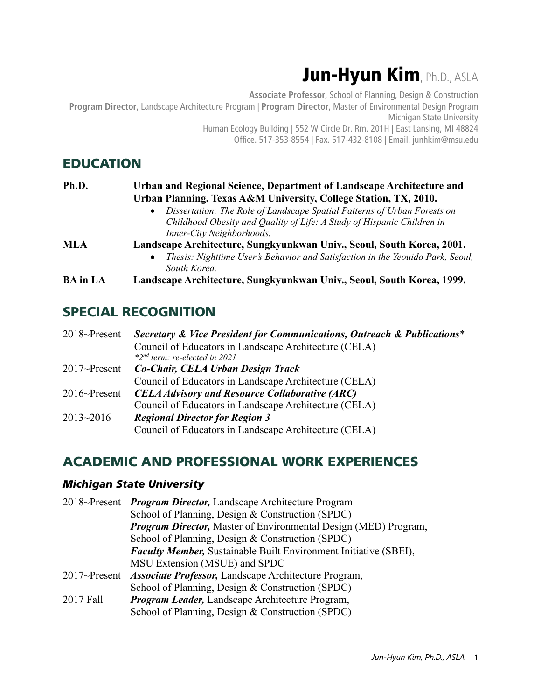# Jun-Hyun Kim, Ph.D., ASLA

**Associate Professor**, School of Planning, Design & Construction **Program Director**, Landscape Architecture Program | **Program Director**, Master of Environmental Design Program Michigan State University Human Ecology Building | 552 W Circle Dr. Rm. 201H | East Lansing, MI 48824 Office. 517-353-8554 | Fax. 517-432-8108 | Email. junhkim@msu.edu

## EDUCATION

| Ph.D.           | Urban and Regional Science, Department of Landscape Architecture and                        |
|-----------------|---------------------------------------------------------------------------------------------|
|                 | Urban Planning, Texas A&M University, College Station, TX, 2010.                            |
|                 | Dissertation: The Role of Landscape Spatial Patterns of Urban Forests on<br>$\bullet$       |
|                 | Childhood Obesity and Quality of Life: A Study of Hispanic Children in                      |
|                 | Inner-City Neighborhoods.                                                                   |
| <b>MLA</b>      | Landscape Architecture, Sungkyunkwan Univ., Seoul, South Korea, 2001.                       |
|                 | Thesis: Nighttime User's Behavior and Satisfaction in the Yeouido Park, Seoul,<br>$\bullet$ |
|                 | South Korea                                                                                 |
| <b>BA</b> in LA | Landscape Architecture, Sungkyunkwan Univ., Seoul, South Korea, 1999.                       |
|                 |                                                                                             |

## SPECIAL RECOGNITION

| $2018$ ~Present | Secretary & Vice President for Communications, Outreach & Publications* |
|-----------------|-------------------------------------------------------------------------|
|                 | Council of Educators in Landscape Architecture (CELA)                   |
|                 | $*2^{nd}$ term: re-elected in 2021                                      |
| $2017$ ~Present | Co-Chair, CELA Urban Design Track                                       |
|                 | Council of Educators in Landscape Architecture (CELA)                   |
| $2016$ ~Present | <b>CELA Advisory and Resource Collaborative (ARC)</b>                   |
|                 | Council of Educators in Landscape Architecture (CELA)                   |
| $2013 - 2016$   | <b>Regional Director for Region 3</b>                                   |
|                 | Council of Educators in Landscape Architecture (CELA)                   |

## ACADEMIC AND PROFESSIONAL WORK EXPERIENCES

#### *Michigan State University*

|           | 2018~Present <i>Program Director</i> , Landscape Architecture Program     |
|-----------|---------------------------------------------------------------------------|
|           | School of Planning, Design & Construction (SPDC)                          |
|           | <b>Program Director, Master of Environmental Design (MED) Program,</b>    |
|           | School of Planning, Design & Construction (SPDC)                          |
|           | <b>Faculty Member, Sustainable Built Environment Initiative (SBEI),</b>   |
|           | MSU Extension (MSUE) and SPDC                                             |
|           | 2017~Present <i>Associate Professor</i> , Landscape Architecture Program, |
|           | School of Planning, Design & Construction (SPDC)                          |
| 2017 Fall | <b>Program Leader, Landscape Architecture Program,</b>                    |
|           | School of Planning, Design & Construction (SPDC)                          |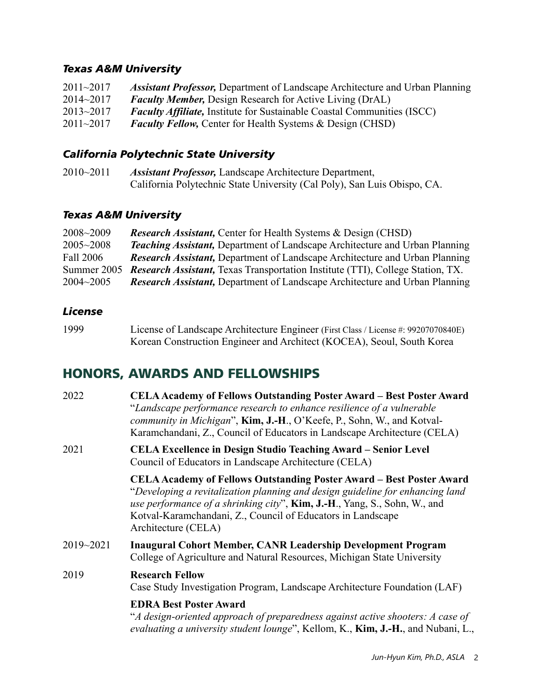#### *Texas A&M University*

| $2011 - 2017$ | <b>Assistant Professor, Department of Landscape Architecture and Urban Planning</b> |
|---------------|-------------------------------------------------------------------------------------|
| $2014 - 2017$ | <b>Faculty Member, Design Research for Active Living (DrAL)</b>                     |
| $2013 - 2017$ | <b>Faculty Affiliate, Institute for Sustainable Coastal Communities (ISCC)</b>      |
| $2011 - 2017$ | <b>Faculty Fellow, Center for Health Systems &amp; Design (CHSD)</b>                |

### *California Polytechnic State University*

| $2010 - 2011$ | <b>Assistant Professor, Landscape Architecture Department,</b>           |
|---------------|--------------------------------------------------------------------------|
|               | California Polytechnic State University (Cal Poly), San Luis Obispo, CA. |

#### *Texas A&M University*

| 2008~2009     | <b>Research Assistant, Center for Health Systems &amp; Design (CHSD)</b>                   |
|---------------|--------------------------------------------------------------------------------------------|
| $2005 - 2008$ | <b>Teaching Assistant, Department of Landscape Architecture and Urban Planning</b>         |
| Fall 2006     | <b>Research Assistant, Department of Landscape Architecture and Urban Planning</b>         |
|               | Summer 2005 Research Assistant, Texas Transportation Institute (TTI), College Station, TX. |
| $2004 - 2005$ | <b>Research Assistant, Department of Landscape Architecture and Urban Planning</b>         |

#### *License*

| 1999 | License of Landscape Architecture Engineer (First Class / License #: 99207070840E) |
|------|------------------------------------------------------------------------------------|
|      | Korean Construction Engineer and Architect (KOCEA), Seoul, South Korea             |

## HONORS, AWARDS AND FELLOWSHIPS

| 2022      | <b>CELA Academy of Fellows Outstanding Poster Award - Best Poster Award</b><br>"Landscape performance research to enhance resilience of a vulnerable<br>community in Michigan", Kim, J.-H., O'Keefe, P., Sohn, W., and Kotval-<br>Karamchandani, Z., Council of Educators in Landscape Architecture (CELA)                      |
|-----------|---------------------------------------------------------------------------------------------------------------------------------------------------------------------------------------------------------------------------------------------------------------------------------------------------------------------------------|
| 2021      | <b>CELA Excellence in Design Studio Teaching Award – Senior Level</b><br>Council of Educators in Landscape Architecture (CELA)                                                                                                                                                                                                  |
|           | <b>CELA Academy of Fellows Outstanding Poster Award – Best Poster Award</b><br>"Developing a revitalization planning and design guideline for enhancing land<br>use performance of a shrinking city", Kim, J.-H., Yang, S., Sohn, W., and<br>Kotval-Karamchandani, Z., Council of Educators in Landscape<br>Architecture (CELA) |
| 2019~2021 | <b>Inaugural Cohort Member, CANR Leadership Development Program</b><br>College of Agriculture and Natural Resources, Michigan State University                                                                                                                                                                                  |
| 2019      | <b>Research Fellow</b><br>Case Study Investigation Program, Landscape Architecture Foundation (LAF)                                                                                                                                                                                                                             |
|           | <b>EDRA Best Poster Award</b><br>"A design-oriented approach of preparedness against active shooters: A case of<br>evaluating a university student lounge", Kellom, K., Kim, J.-H., and Nubani, L.,                                                                                                                             |
|           |                                                                                                                                                                                                                                                                                                                                 |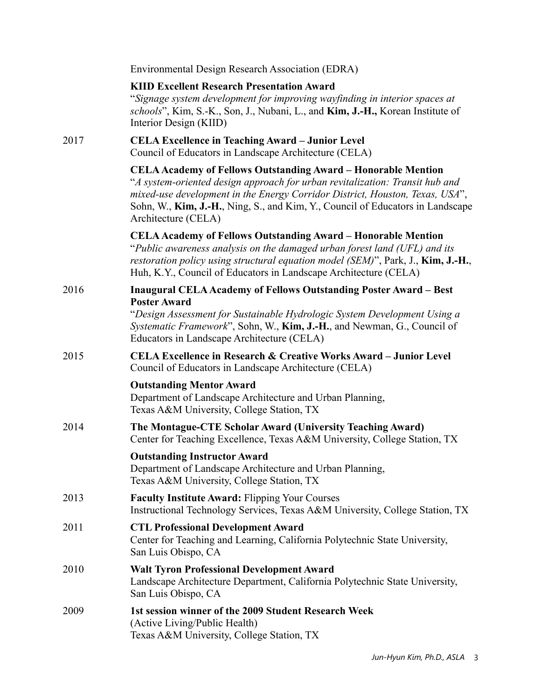|      | Environmental Design Research Association (EDRA)                                                                                                                                                                                                                                                                                              |
|------|-----------------------------------------------------------------------------------------------------------------------------------------------------------------------------------------------------------------------------------------------------------------------------------------------------------------------------------------------|
|      | <b>KIID Excellent Research Presentation Award</b><br>"Signage system development for improving wayfinding in interior spaces at<br>schools", Kim, S.-K., Son, J., Nubani, L., and Kim, J.-H., Korean Institute of<br>Interior Design (KIID)                                                                                                   |
| 2017 | <b>CELA Excellence in Teaching Award – Junior Level</b><br>Council of Educators in Landscape Architecture (CELA)                                                                                                                                                                                                                              |
|      | <b>CELA Academy of Fellows Outstanding Award - Honorable Mention</b><br>"A system-oriented design approach for urban revitalization: Transit hub and<br>mixed-use development in the Energy Corridor District, Houston, Texas, USA",<br>Sohn, W., Kim, J.-H., Ning, S., and Kim, Y., Council of Educators in Landscape<br>Architecture (CELA) |
|      | <b>CELA Academy of Fellows Outstanding Award - Honorable Mention</b><br>"Public awareness analysis on the damaged urban forest land (UFL) and its<br>restoration policy using structural equation model (SEM)", Park, J., Kim, J.-H.,<br>Huh, K.Y., Council of Educators in Landscape Architecture (CELA)                                     |
| 2016 | <b>Inaugural CELA Academy of Fellows Outstanding Poster Award - Best</b><br><b>Poster Award</b>                                                                                                                                                                                                                                               |
|      | "Design Assessment for Sustainable Hydrologic System Development Using a<br>Systematic Framework", Sohn, W., Kim, J.-H., and Newman, G., Council of<br>Educators in Landscape Architecture (CELA)                                                                                                                                             |
| 2015 | <b>CELA Excellence in Research &amp; Creative Works Award – Junior Level</b><br>Council of Educators in Landscape Architecture (CELA)                                                                                                                                                                                                         |
|      | <b>Outstanding Mentor Award</b><br>Department of Landscape Architecture and Urban Planning,<br>Texas A&M University, College Station, TX                                                                                                                                                                                                      |
| 2014 | The Montague-CTE Scholar Award (University Teaching Award)<br>Center for Teaching Excellence, Texas A&M University, College Station, TX                                                                                                                                                                                                       |
|      | <b>Outstanding Instructor Award</b><br>Department of Landscape Architecture and Urban Planning,<br>Texas A&M University, College Station, TX                                                                                                                                                                                                  |
| 2013 | <b>Faculty Institute Award: Flipping Your Courses</b><br>Instructional Technology Services, Texas A&M University, College Station, TX                                                                                                                                                                                                         |
| 2011 | <b>CTL Professional Development Award</b><br>Center for Teaching and Learning, California Polytechnic State University,<br>San Luis Obispo, CA                                                                                                                                                                                                |
| 2010 | <b>Walt Tyron Professional Development Award</b><br>Landscape Architecture Department, California Polytechnic State University,<br>San Luis Obispo, CA                                                                                                                                                                                        |
| 2009 | 1st session winner of the 2009 Student Research Week<br>(Active Living/Public Health)<br>Texas A&M University, College Station, TX                                                                                                                                                                                                            |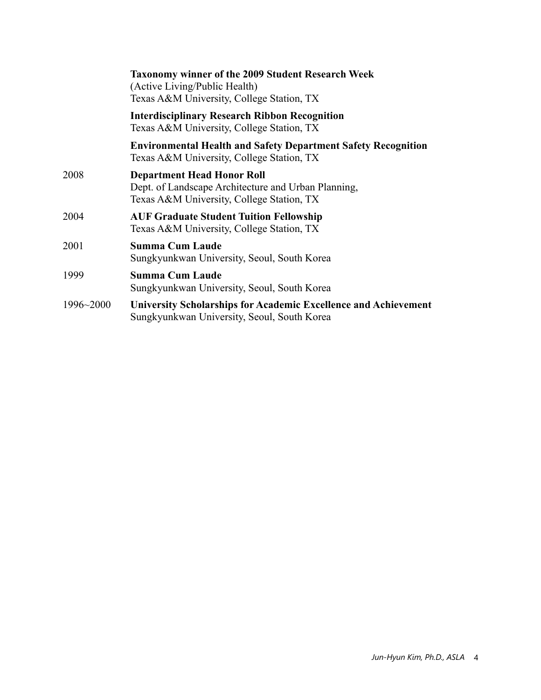|           | <b>Taxonomy winner of the 2009 Student Research Week</b><br>(Active Living/Public Health)<br>Texas A&M University, College Station, TX |
|-----------|----------------------------------------------------------------------------------------------------------------------------------------|
|           | <b>Interdisciplinary Research Ribbon Recognition</b><br>Texas A&M University, College Station, TX                                      |
|           | <b>Environmental Health and Safety Department Safety Recognition</b><br>Texas A&M University, College Station, TX                      |
| 2008      | <b>Department Head Honor Roll</b><br>Dept. of Landscape Architecture and Urban Planning,<br>Texas A&M University, College Station, TX  |
| 2004      | <b>AUF Graduate Student Tuition Fellowship</b><br>Texas A&M University, College Station, TX                                            |
| 2001      | <b>Summa Cum Laude</b><br>Sungkyunkwan University, Seoul, South Korea                                                                  |
| 1999      | <b>Summa Cum Laude</b><br>Sungkyunkwan University, Seoul, South Korea                                                                  |
| 1996~2000 | <b>University Scholarships for Academic Excellence and Achievement</b><br>Sungkyunkwan University, Seoul, South Korea                  |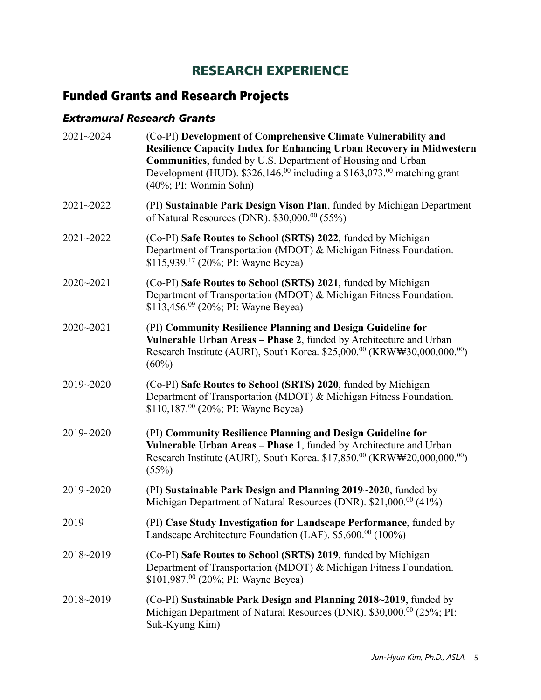## RESEARCH EXPERIENCE

# Funded Grants and Research Projects

### *Extramural Research Grants*

| (Co-PI) Development of Comprehensive Climate Vulnerability and<br>Resilience Capacity Index for Enhancing Urban Recovery in Midwestern<br>Communities, funded by U.S. Department of Housing and Urban<br>Development (HUD). $$326,146.^{00}$ including a $$163,073.^{00}$ matching grant<br>$(40\%; PI: Woman Sohn)$ |
|----------------------------------------------------------------------------------------------------------------------------------------------------------------------------------------------------------------------------------------------------------------------------------------------------------------------|
| (PI) Sustainable Park Design Vison Plan, funded by Michigan Department<br>of Natural Resources (DNR). \$30,000. <sup>00</sup> (55%)                                                                                                                                                                                  |
| (Co-PI) Safe Routes to School (SRTS) 2022, funded by Michigan<br>Department of Transportation (MDOT) & Michigan Fitness Foundation.<br>\$115,939. <sup>17</sup> (20%; PI: Wayne Beyea)                                                                                                                               |
| (Co-PI) Safe Routes to School (SRTS) 2021, funded by Michigan<br>Department of Transportation (MDOT) & Michigan Fitness Foundation.<br>\$113,456.09 (20%; PI: Wayne Beyea)                                                                                                                                           |
| (PI) Community Resilience Planning and Design Guideline for<br>Vulnerable Urban Areas - Phase 2, funded by Architecture and Urban<br>Research Institute (AURI), South Korea. \$25,000.00 (KRW\30,000,000.00)<br>$(60\%)$                                                                                             |
| (Co-PI) Safe Routes to School (SRTS) 2020, funded by Michigan<br>Department of Transportation (MDOT) & Michigan Fitness Foundation.<br>\$110,187. <sup>00</sup> (20%; PI: Wayne Beyea)                                                                                                                               |
| (PI) Community Resilience Planning and Design Guideline for<br>Vulnerable Urban Areas - Phase 1, funded by Architecture and Urban<br>Research Institute (AURI), South Korea. \$17,850. <sup>00</sup> (KRW\\\$20,000,000. <sup>00</sup> )<br>(55%)                                                                    |
| (PI) Sustainable Park Design and Planning 2019~2020, funded by<br>Michigan Department of Natural Resources (DNR). \$21,000.00 (41%)                                                                                                                                                                                  |
| (PI) Case Study Investigation for Landscape Performance, funded by<br>Landscape Architecture Foundation (LAF). \$5,600.00 (100%)                                                                                                                                                                                     |
| (Co-PI) Safe Routes to School (SRTS) 2019, funded by Michigan<br>Department of Transportation (MDOT) & Michigan Fitness Foundation.<br>\$101,987. <sup>00</sup> (20%; PI: Wayne Beyea)                                                                                                                               |
| (Co-PI) Sustainable Park Design and Planning 2018~2019, funded by<br>Michigan Department of Natural Resources (DNR). \$30,000. <sup>00</sup> (25%; PI:<br>Suk-Kyung Kim)                                                                                                                                             |
|                                                                                                                                                                                                                                                                                                                      |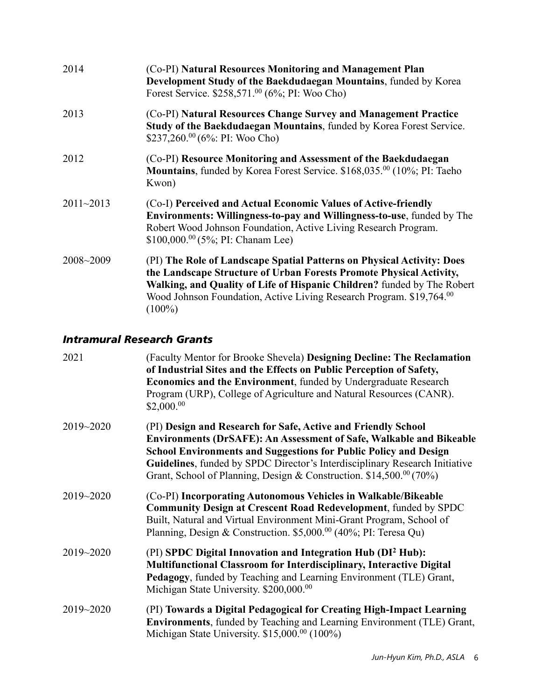| 2014          | (Co-PI) Natural Resources Monitoring and Management Plan<br>Development Study of the Baekdudaegan Mountains, funded by Korea<br>Forest Service. \$258,571.00 (6%; PI: Woo Cho)                                                                                                                                |
|---------------|---------------------------------------------------------------------------------------------------------------------------------------------------------------------------------------------------------------------------------------------------------------------------------------------------------------|
| 2013          | (Co-PI) Natural Resources Change Survey and Management Practice<br>Study of the Baekdudaegan Mountains, funded by Korea Forest Service.<br>\$237,260.00 (6%: PI: Woo Cho)                                                                                                                                     |
| 2012          | (Co-PI) Resource Monitoring and Assessment of the Baekdudaegan<br>Mountains, funded by Korea Forest Service. \$168,035.00 (10%; PI: Taeho<br>Kwon)                                                                                                                                                            |
| $2011 - 2013$ | (Co-I) Perceived and Actual Economic Values of Active-friendly<br>Environments: Willingness-to-pay and Willingness-to-use, funded by The<br>Robert Wood Johnson Foundation, Active Living Research Program.<br>\$100,000. <sup>00</sup> (5%; PI: Chanam Lee)                                                  |
| 2008~2009     | (PI) The Role of Landscape Spatial Patterns on Physical Activity: Does<br>the Landscape Structure of Urban Forests Promote Physical Activity,<br>Walking, and Quality of Life of Hispanic Children? funded by The Robert<br>Wood Johnson Foundation, Active Living Research Program. \$19,764.00<br>$(100\%)$ |

#### *Intramural Research Grants*

| 2021          | (Faculty Mentor for Brooke Shevela) Designing Decline: The Reclamation<br>of Industrial Sites and the Effects on Public Perception of Safety,<br>Economics and the Environment, funded by Undergraduate Research<br>Program (URP), College of Agriculture and Natural Resources (CANR).<br>\$2,000. <sup>00</sup>                                                     |
|---------------|-----------------------------------------------------------------------------------------------------------------------------------------------------------------------------------------------------------------------------------------------------------------------------------------------------------------------------------------------------------------------|
| 2019~2020     | (PI) Design and Research for Safe, Active and Friendly School<br>Environments (DrSAFE): An Assessment of Safe, Walkable and Bikeable<br><b>School Environments and Suggestions for Public Policy and Design</b><br>Guidelines, funded by SPDC Director's Interdisciplinary Research Initiative<br>Grant, School of Planning, Design & Construction. \$14,500.00 (70%) |
| 2019~2020     | (Co-PI) Incorporating Autonomous Vehicles in Walkable/Bikeable<br><b>Community Design at Crescent Road Redevelopment, funded by SPDC</b><br>Built, Natural and Virtual Environment Mini-Grant Program, School of<br>Planning, Design & Construction. \$5,000. <sup>00</sup> (40%; PI: Teresa Qu)                                                                      |
| $2019 - 2020$ | (PI) SPDC Digital Innovation and Integration Hub (DI <sup>2</sup> Hub):<br>Multifunctional Classroom for Interdisciplinary, Interactive Digital<br>Pedagogy, funded by Teaching and Learning Environment (TLE) Grant,<br>Michigan State University. \$200,000.00                                                                                                      |
| 2019~2020     | (PI) Towards a Digital Pedagogical for Creating High-Impact Learning<br><b>Environments</b> , funded by Teaching and Learning Environment (TLE) Grant,<br>Michigan State University. \$15,000. <sup>00</sup> (100%)                                                                                                                                                   |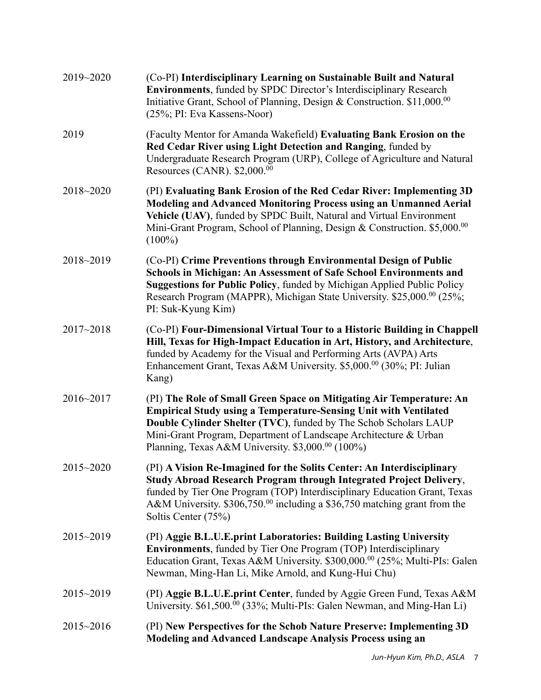| 2019~2020     | (Co-PI) Interdisciplinary Learning on Sustainable Built and Natural<br><b>Environments, funded by SPDC Director's Interdisciplinary Research</b><br>Initiative Grant, School of Planning, Design & Construction. \$11,000.00<br>(25%; PI: Eva Kassens-Noor)                                                                                                |
|---------------|------------------------------------------------------------------------------------------------------------------------------------------------------------------------------------------------------------------------------------------------------------------------------------------------------------------------------------------------------------|
| 2019          | (Faculty Mentor for Amanda Wakefield) Evaluating Bank Erosion on the<br>Red Cedar River using Light Detection and Ranging, funded by<br>Undergraduate Research Program (URP), College of Agriculture and Natural<br>Resources (CANR). \$2,000.00                                                                                                           |
| 2018~2020     | (PI) Evaluating Bank Erosion of the Red Cedar River: Implementing 3D<br>Modeling and Advanced Monitoring Process using an Unmanned Aerial<br>Vehicle (UAV), funded by SPDC Built, Natural and Virtual Environment<br>Mini-Grant Program, School of Planning, Design & Construction. \$5,000.00<br>$(100\%)$                                                |
| 2018~2019     | (Co-PI) Crime Preventions through Environmental Design of Public<br>Schools in Michigan: An Assessment of Safe School Environments and<br>Suggestions for Public Policy, funded by Michigan Applied Public Policy<br>Research Program (MAPPR), Michigan State University. \$25,000.00 (25%;<br>PI: Suk-Kyung Kim)                                          |
| $2017 - 2018$ | (Co-PI) Four-Dimensional Virtual Tour to a Historic Building in Chappell<br>Hill, Texas for High-Impact Education in Art, History, and Architecture,<br>funded by Academy for the Visual and Performing Arts (AVPA) Arts<br>Enhancement Grant, Texas A&M University. \$5,000.00 (30%; PI: Julian<br>Kang)                                                  |
| 2016~2017     | (PI) The Role of Small Green Space on Mitigating Air Temperature: An<br><b>Empirical Study using a Temperature-Sensing Unit with Ventilated</b><br>Double Cylinder Shelter (TVC), funded by The Schob Scholars LAUP<br>Mini-Grant Program, Department of Landscape Architecture & Urban<br>Planning, Texas A&M University. $$3,000$ . <sup>00</sup> (100%) |
| $2015 - 2020$ | (PI) A Vision Re-Imagined for the Solits Center: An Interdisciplinary<br>Study Abroad Research Program through Integrated Project Delivery,<br>funded by Tier One Program (TOP) Interdisciplinary Education Grant, Texas<br>A&M University. $$306,750.^{00}$ including a \$36,750 matching grant from the<br>Soltis Center (75%)                           |
| 2015~2019     | (PI) Aggie B.L.U.E.print Laboratories: Building Lasting University<br><b>Environments</b> , funded by Tier One Program (TOP) Interdisciplinary<br>Education Grant, Texas A&M University. \$300,000. <sup>00</sup> (25%; Multi-PIs: Galen<br>Newman, Ming-Han Li, Mike Arnold, and Kung-Hui Chu)                                                            |
| $2015 - 2019$ | (PI) Aggie B.L.U.E.print Center, funded by Aggie Green Fund, Texas A&M<br>University. \$61,500. <sup>00</sup> (33%; Multi-PIs: Galen Newman, and Ming-Han Li)                                                                                                                                                                                              |
| $2015 - 2016$ | (PI) New Perspectives for the Schob Nature Preserve: Implementing 3D<br><b>Modeling and Advanced Landscape Analysis Process using an</b>                                                                                                                                                                                                                   |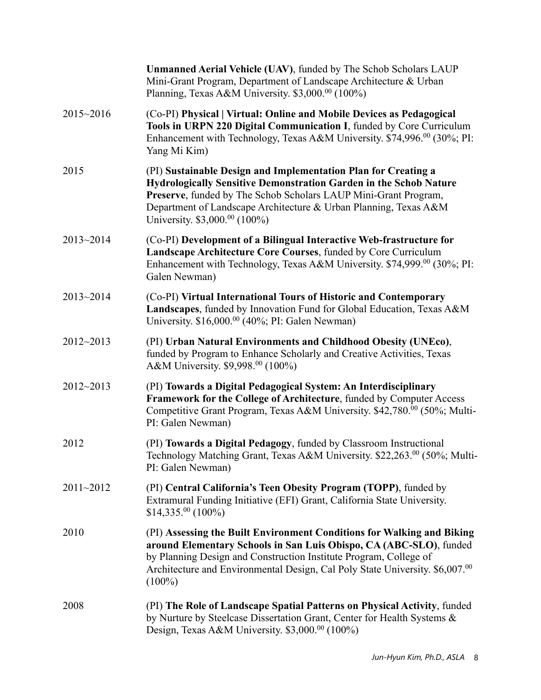|               | <b>Unmanned Aerial Vehicle (UAV)</b> , funded by The Schob Scholars LAUP<br>Mini-Grant Program, Department of Landscape Architecture & Urban<br>Planning, Texas A&M University. \$3,000.00 (100%)                                                                                                              |
|---------------|----------------------------------------------------------------------------------------------------------------------------------------------------------------------------------------------------------------------------------------------------------------------------------------------------------------|
| 2015~2016     | (Co-PI) Physical   Virtual: Online and Mobile Devices as Pedagogical<br>Tools in URPN 220 Digital Communication I, funded by Core Curriculum<br>Enhancement with Technology, Texas A&M University. \$74,996.00 (30%; PI:<br>Yang Mi Kim)                                                                       |
| 2015          | (PI) Sustainable Design and Implementation Plan for Creating a<br>Hydrologically Sensitive Demonstration Garden in the Schob Nature<br>Preserve, funded by The Schob Scholars LAUP Mini-Grant Program,<br>Department of Landscape Architecture & Urban Planning, Texas A&M<br>University. \$3,000.00 (100%)    |
| 2013~2014     | (Co-PI) Development of a Bilingual Interactive Web-frastructure for<br>Landscape Architecture Core Courses, funded by Core Curriculum<br>Enhancement with Technology, Texas A&M University. \$74,999. <sup>00</sup> (30%; PI:<br>Galen Newman)                                                                 |
| 2013~2014     | (Co-PI) Virtual International Tours of Historic and Contemporary<br>Landscapes, funded by Innovation Fund for Global Education, Texas A&M<br>University. $$16,000$ . <sup>00</sup> (40%; PI: Galen Newman)                                                                                                     |
| 2012~2013     | (PI) Urban Natural Environments and Childhood Obesity (UNEco),<br>funded by Program to Enhance Scholarly and Creative Activities, Texas<br>A&M University. \$9,998.00 (100%)                                                                                                                                   |
| $2012 - 2013$ | (PI) Towards a Digital Pedagogical System: An Interdisciplinary<br>Framework for the College of Architecture, funded by Computer Access<br>Competitive Grant Program, Texas A&M University. \$42,780.00 (50%; Multi-<br>PI: Galen Newman)                                                                      |
| 2012          | (PI) Towards a Digital Pedagogy, funded by Classroom Instructional<br>Technology Matching Grant, Texas A&M University. \$22,263.00 (50%; Multi-<br>PI: Galen Newman)                                                                                                                                           |
| 2011~2012     | (PI) Central California's Teen Obesity Program (TOPP), funded by<br>Extramural Funding Initiative (EFI) Grant, California State University.<br>$$14,335.^{00}$ (100%)                                                                                                                                          |
| 2010          | (PI) Assessing the Built Environment Conditions for Walking and Biking<br>around Elementary Schools in San Luis Obispo, CA (ABC-SLO), funded<br>by Planning Design and Construction Institute Program, College of<br>Architecture and Environmental Design, Cal Poly State University. \$6,007.00<br>$(100\%)$ |
| 2008          | (PI) The Role of Landscape Spatial Patterns on Physical Activity, funded<br>by Nurture by Steelcase Dissertation Grant, Center for Health Systems &<br>Design, Texas A&M University. \$3,000.00 (100%)                                                                                                         |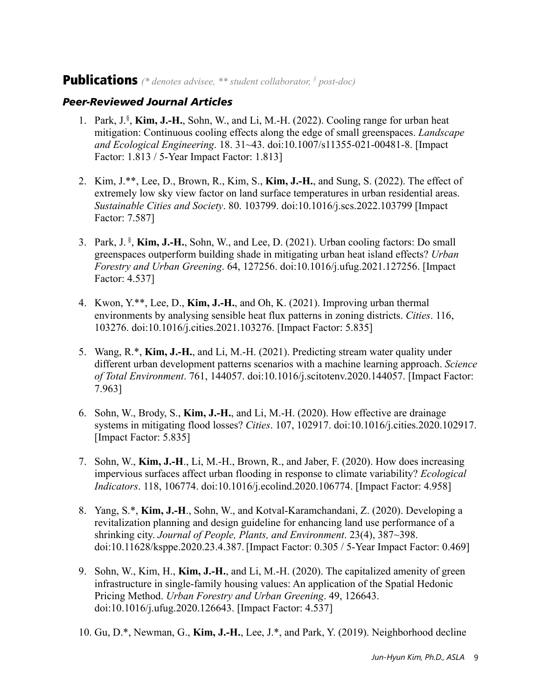### Publications *(\* denotes advisee, \*\* student collaborator, § post-doc)*

#### *Peer-Reviewed Journal Articles*

- 1. Park, J.§ , **Kim, J.-H.**, Sohn, W., and Li, M.-H. (2022). Cooling range for urban heat mitigation: Continuous cooling effects along the edge of small greenspaces. *Landscape and Ecological Engineering*. 18. 31~43. doi:10.1007/s11355-021-00481-8. [Impact Factor: 1.813 / 5-Year Impact Factor: 1.813]
- 2. Kim, J.\*\*, Lee, D., Brown, R., Kim, S., **Kim, J.-H.**, and Sung, S. (2022). The effect of extremely low sky view factor on land surface temperatures in urban residential areas. *Sustainable Cities and Society*. 80. 103799. doi:10.1016/j.scs.2022.103799 [Impact Factor: 7.587]
- 3. Park, J. § , **Kim, J.-H.**, Sohn, W., and Lee, D. (2021). Urban cooling factors: Do small greenspaces outperform building shade in mitigating urban heat island effects? *Urban Forestry and Urban Greening*. 64, 127256. doi:10.1016/j.ufug.2021.127256. [Impact Factor: 4.537]
- 4. Kwon, Y.\*\*, Lee, D., **Kim, J.-H.**, and Oh, K. (2021). Improving urban thermal environments by analysing sensible heat flux patterns in zoning districts. *Cities*. 116, 103276. doi:10.1016/j.cities.2021.103276. [Impact Factor: 5.835]
- 5. Wang, R.\*, **Kim, J.-H.**, and Li, M.-H. (2021). Predicting stream water quality under different urban development patterns scenarios with a machine learning approach. *Science of Total Environment*. 761, 144057. doi:10.1016/j.scitotenv.2020.144057. [Impact Factor: 7.963]
- 6. Sohn, W., Brody, S., **Kim, J.-H.**, and Li, M.-H. (2020). How effective are drainage systems in mitigating flood losses? *Cities*. 107, 102917. doi:10.1016/j.cities.2020.102917. [Impact Factor: 5.835]
- 7. Sohn, W., **Kim, J.-H**., Li, M.-H., Brown, R., and Jaber, F. (2020). How does increasing impervious surfaces affect urban flooding in response to climate variability? *Ecological Indicators*. 118, 106774. doi:10.1016/j.ecolind.2020.106774. [Impact Factor: 4.958]
- 8. Yang, S.\*, **Kim, J.-H**., Sohn, W., and Kotval-Karamchandani, Z. (2020). Developing a revitalization planning and design guideline for enhancing land use performance of a shrinking city. *Journal of People, Plants, and Environment*. 23(4), 387~398. doi:10.11628/ksppe.2020.23.4.387. [Impact Factor: 0.305 / 5-Year Impact Factor: 0.469]
- 9. Sohn, W., Kim, H., **Kim, J.-H.**, and Li, M.-H. (2020). The capitalized amenity of green infrastructure in single-family housing values: An application of the Spatial Hedonic Pricing Method. *Urban Forestry and Urban Greening*. 49, 126643. doi:10.1016/j.ufug.2020.126643. [Impact Factor: 4.537]
- 10. Gu, D.\*, Newman, G., **Kim, J.-H.**, Lee, J.\*, and Park, Y. (2019). Neighborhood decline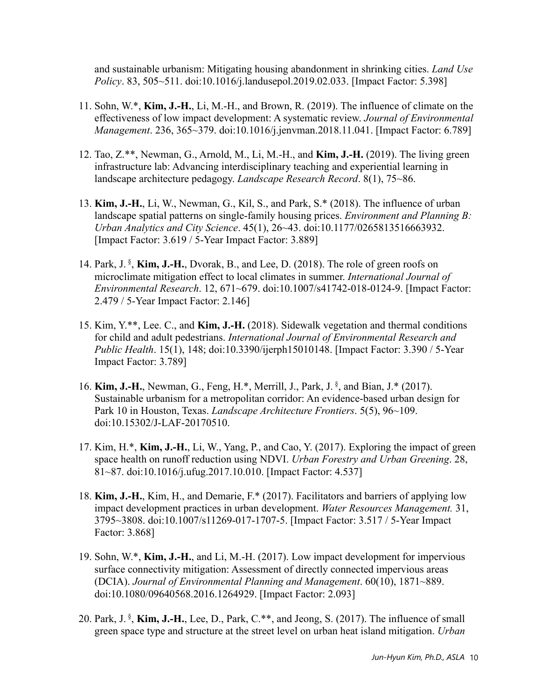and sustainable urbanism: Mitigating housing abandonment in shrinking cities. *Land Use Policy*. 83, 505~511. doi:10.1016/j.landusepol.2019.02.033. [Impact Factor: 5.398]

- 11. Sohn, W.\*, **Kim, J.-H.**, Li, M.-H., and Brown, R. (2019). The influence of climate on the effectiveness of low impact development: A systematic review. *Journal of Environmental Management*. 236, 365~379. doi:10.1016/j.jenvman.2018.11.041. [Impact Factor: 6.789]
- 12. Tao, Z.\*\*, Newman, G., Arnold, M., Li, M.-H., and **Kim, J.-H.** (2019). The living green infrastructure lab: Advancing interdisciplinary teaching and experiential learning in landscape architecture pedagogy. *Landscape Research Record*. 8(1), 75~86.
- 13. **Kim, J.-H.**, Li, W., Newman, G., Kil, S., and Park, S.\* (2018). The influence of urban landscape spatial patterns on single-family housing prices. *Environment and Planning B: Urban Analytics and City Science*. 45(1), 26~43. doi:10.1177/0265813516663932. [Impact Factor: 3.619 / 5-Year Impact Factor: 3.889]
- 14. Park, J. §, Kim, J.-H., Dvorak, B., and Lee, D. (2018). The role of green roofs on microclimate mitigation effect to local climates in summer. *International Journal of Environmental Research*. 12, 671~679. doi:10.1007/s41742-018-0124-9. [Impact Factor: 2.479 / 5-Year Impact Factor: 2.146]
- 15. Kim, Y.\*\*, Lee. C., and **Kim, J.-H.** (2018). Sidewalk vegetation and thermal conditions for child and adult pedestrians. *International Journal of Environmental Research and Public Health*. 15(1), 148; doi:10.3390/ijerph15010148. [Impact Factor: 3.390 / 5-Year Impact Factor: 3.789]
- 16. **Kim, J.-H.**, Newman, G., Feng, H.\*, Merrill, J., Park, J.<sup>§</sup>, and Bian, J.\* (2017). Sustainable urbanism for a metropolitan corridor: An evidence-based urban design for Park 10 in Houston, Texas. *Landscape Architecture Frontiers*. 5(5), 96~109. doi:10.15302/J-LAF-20170510.
- 17. Kim, H.\*, **Kim, J.-H.**, Li, W., Yang, P., and Cao, Y. (2017). Exploring the impact of green space health on runoff reduction using NDVI. *Urban Forestry and Urban Greening*. 28, 81~87. doi:10.1016/j.ufug.2017.10.010. [Impact Factor: 4.537]
- 18. **Kim, J.-H.**, Kim, H., and Demarie, F.\* (2017). Facilitators and barriers of applying low impact development practices in urban development. *Water Resources Management.* 31, 3795~3808. doi:10.1007/s11269-017-1707-5. [Impact Factor: 3.517 / 5-Year Impact Factor: 3.868]
- 19. Sohn, W.\*, **Kim, J.-H.**, and Li, M.-H. (2017). Low impact development for impervious surface connectivity mitigation: Assessment of directly connected impervious areas (DCIA). *Journal of Environmental Planning and Management*. 60(10), 1871~889. doi:10.1080/09640568.2016.1264929. [Impact Factor: 2.093]
- 20. Park, J. § , **Kim, J.-H.**, Lee, D., Park, C.\*\*, and Jeong, S. (2017). The influence of small green space type and structure at the street level on urban heat island mitigation. *Urban*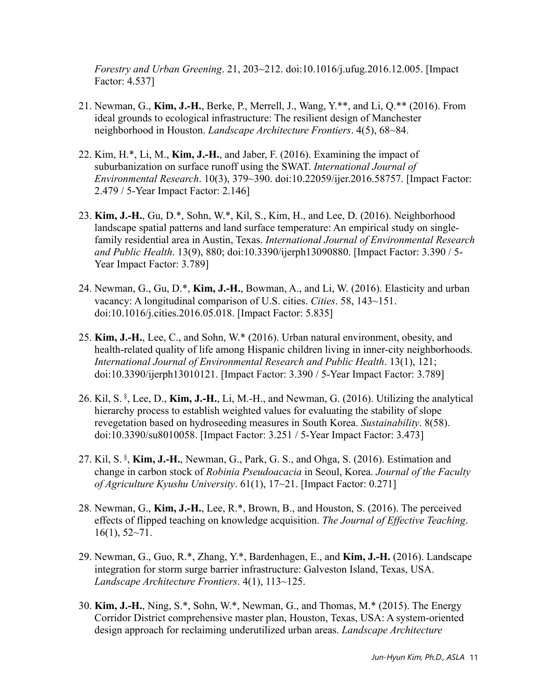*Forestry and Urban Greening*. 21, 203~212. doi:10.1016/j.ufug.2016.12.005. [Impact Factor: 4.537]

- 21. Newman, G., **Kim, J.-H.**, Berke, P., Merrell, J., Wang, Y.\*\*, and Li, Q.\*\* (2016). From ideal grounds to ecological infrastructure: The resilient design of Manchester neighborhood in Houston. *Landscape Architecture Frontiers*. 4(5), 68~84.
- 22. Kim, H.\*, Li, M., **Kim, J.-H.**, and Jaber, F. (2016). Examining the impact of suburbanization on surface runoff using the SWAT. *International Journal of Environmental Research*. 10(3), 379~390. doi:10.22059/ijer.2016.58757. [Impact Factor: 2.479 / 5-Year Impact Factor: 2.146]
- 23. **Kim, J.-H.**, Gu, D.\*, Sohn, W.\*, Kil, S., Kim, H., and Lee, D. (2016). Neighborhood landscape spatial patterns and land surface temperature: An empirical study on singlefamily residential area in Austin, Texas. *International Journal of Environmental Research and Public Health*. 13(9), 880; doi:10.3390/ijerph13090880. [Impact Factor: 3.390 / 5- Year Impact Factor: 3.789]
- 24. Newman, G., Gu, D.\*, **Kim, J.-H.**, Bowman, A., and Li, W. (2016). Elasticity and urban vacancy: A longitudinal comparison of U.S. cities. *Cities*. 58, 143~151. doi:10.1016/j.cities.2016.05.018. [Impact Factor: 5.835]
- 25. **Kim, J.-H.**, Lee, C., and Sohn, W.\* (2016). Urban natural environment, obesity, and health-related quality of life among Hispanic children living in inner-city neighborhoods. *International Journal of Environmental Research and Public Health*. 13(1), 121; doi:10.3390/ijerph13010121. [Impact Factor: 3.390 / 5-Year Impact Factor: 3.789]
- 26. Kil, S. § , Lee, D., **Kim, J.-H.**, Li, M.-H., and Newman, G. (2016). Utilizing the analytical hierarchy process to establish weighted values for evaluating the stability of slope revegetation based on hydroseeding measures in South Korea. *Sustainability*. 8(58). doi:10.3390/su8010058. [Impact Factor: 3.251 / 5-Year Impact Factor: 3.473]
- 27. Kil, S. § , **Kim, J.-H.**, Newman, G., Park, G. S., and Ohga, S. (2016). Estimation and change in carbon stock of *Robinia Pseudoacacia* in Seoul, Korea. *Journal of the Faculty of Agriculture Kyushu University*. 61(1), 17~21. [Impact Factor: 0.271]
- 28. Newman, G., **Kim, J.-H.**, Lee, R.\*, Brown, B., and Houston, S. (2016). The perceived effects of flipped teaching on knowledge acquisition. *The Journal of Effective Teaching*.  $16(1), 52~-71.$
- 29. Newman, G., Guo, R.\*, Zhang, Y.\*, Bardenhagen, E., and **Kim, J.-H.** (2016). Landscape integration for storm surge barrier infrastructure: Galveston Island, Texas, USA. *Landscape Architecture Frontiers*. 4(1), 113~125.
- 30. **Kim, J.-H.**, Ning, S.\*, Sohn, W.\*, Newman, G., and Thomas, M.\* (2015). The Energy Corridor District comprehensive master plan, Houston, Texas, USA: A system-oriented design approach for reclaiming underutilized urban areas. *Landscape Architecture*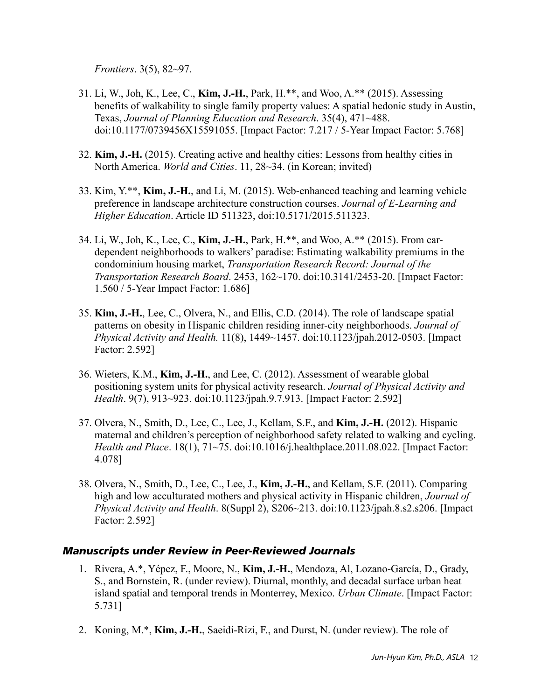*Frontiers*. 3(5), 82~97.

- 31. Li, W., Joh, K., Lee, C., **Kim, J.-H.**, Park, H.\*\*, and Woo, A.\*\* (2015). Assessing benefits of walkability to single family property values: A spatial hedonic study in Austin, Texas, *Journal of Planning Education and Research*. 35(4), 471~488. doi:10.1177/0739456X15591055. [Impact Factor: 7.217 / 5-Year Impact Factor: 5.768]
- 32. **Kim, J.-H.** (2015). Creating active and healthy cities: Lessons from healthy cities in North America. *World and Cities*. 11, 28~34. (in Korean; invited)
- 33. Kim, Y.\*\*, **Kim, J.-H.**, and Li, M. (2015). Web-enhanced teaching and learning vehicle preference in landscape architecture construction courses. *Journal of E-Learning and Higher Education*. Article ID 511323, doi:10.5171/2015.511323.
- 34. Li, W., Joh, K., Lee, C., **Kim, J.-H.**, Park, H.\*\*, and Woo, A.\*\* (2015). From cardependent neighborhoods to walkers' paradise: Estimating walkability premiums in the condominium housing market, *Transportation Research Record: Journal of the Transportation Research Board*. 2453, 162~170. doi:10.3141/2453-20. [Impact Factor: 1.560 / 5-Year Impact Factor: 1.686]
- 35. **Kim, J.-H.**, Lee, C., Olvera, N., and Ellis, C.D. (2014). The role of landscape spatial patterns on obesity in Hispanic children residing inner-city neighborhoods. *Journal of Physical Activity and Health.* 11(8), 1449~1457. doi:10.1123/jpah.2012-0503. [Impact Factor: 2.592]
- 36. Wieters, K.M., **Kim, J.-H.**, and Lee, C. (2012). Assessment of wearable global positioning system units for physical activity research. *Journal of Physical Activity and Health*. 9(7), 913~923. doi:10.1123/jpah.9.7.913. [Impact Factor: 2.592]
- 37. Olvera, N., Smith, D., Lee, C., Lee, J., Kellam, S.F., and **Kim, J.-H.** (2012). Hispanic maternal and children's perception of neighborhood safety related to walking and cycling. *Health and Place*. 18(1), 71~75. doi:10.1016/j.healthplace.2011.08.022. [Impact Factor: 4.078]
- 38. Olvera, N., Smith, D., Lee, C., Lee, J., **Kim, J.-H.**, and Kellam, S.F. (2011). Comparing high and low acculturated mothers and physical activity in Hispanic children, *Journal of Physical Activity and Health*. 8(Suppl 2), S206~213. doi:10.1123/jpah.8.s2.s206. [Impact Factor: 2.592]

#### *Manuscripts under Review in Peer-Reviewed Journals*

- 1. Rivera, A.\*, Yépez, F., Moore, N., **Kim, J.-H.**, Mendoza, Al, Lozano-García, D., Grady, S., and Bornstein, R. (under review). Diurnal, monthly, and decadal surface urban heat island spatial and temporal trends in Monterrey, Mexico. *Urban Climate*. [Impact Factor: 5.731]
- 2. Koning, M.\*, **Kim, J.-H.**, Saeidi-Rizi, F., and Durst, N. (under review). The role of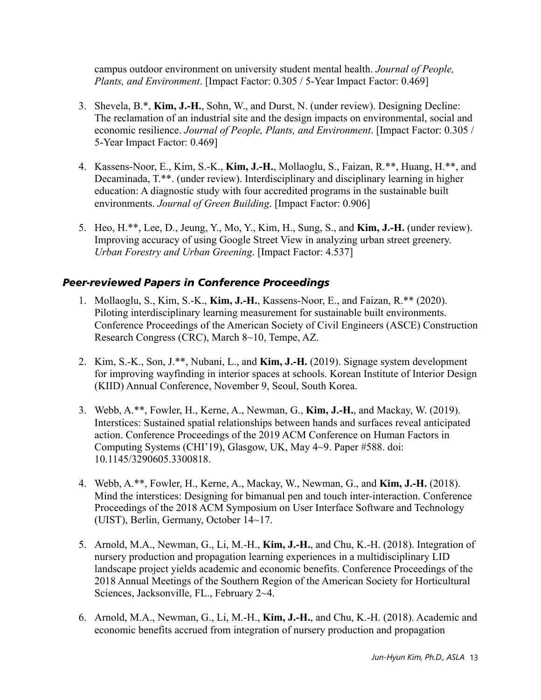campus outdoor environment on university student mental health. *Journal of People, Plants, and Environment*. [Impact Factor: 0.305 / 5-Year Impact Factor: 0.469]

- 3. Shevela, B.\*, **Kim, J.-H.**, Sohn, W., and Durst, N. (under review). Designing Decline: The reclamation of an industrial site and the design impacts on environmental, social and economic resilience. *Journal of People, Plants, and Environment*. [Impact Factor: 0.305 / 5-Year Impact Factor: 0.469]
- 4. Kassens-Noor, E., Kim, S.-K., **Kim, J.-H.**, Mollaoglu, S., Faizan, R.\*\*, Huang, H.\*\*, and Decaminada, T.\*\*. (under review). Interdisciplinary and disciplinary learning in higher education: A diagnostic study with four accredited programs in the sustainable built environments. *Journal of Green Building*. [Impact Factor: 0.906]
- 5. Heo, H.\*\*, Lee, D., Jeung, Y., Mo, Y., Kim, H., Sung, S., and **Kim, J.-H.** (under review). Improving accuracy of using Google Street View in analyzing urban street greenery. *Urban Forestry and Urban Greening*. [Impact Factor: 4.537]

#### *Peer-reviewed Papers in Conference Proceedings*

- 1. Mollaoglu, S., Kim, S.-K., **Kim, J.-H.**, Kassens-Noor, E., and Faizan, R.\*\* (2020). Piloting interdisciplinary learning measurement for sustainable built environments. Conference Proceedings of the American Society of Civil Engineers (ASCE) Construction Research Congress (CRC), March 8~10, Tempe, AZ.
- 2. Kim, S.-K., Son, J.\*\*, Nubani, L., and **Kim, J.-H.** (2019). Signage system development for improving wayfinding in interior spaces at schools. Korean Institute of Interior Design (KIID) Annual Conference, November 9, Seoul, South Korea.
- 3. Webb, A.\*\*, Fowler, H., Kerne, A., Newman, G., **Kim, J.-H.**, and Mackay, W. (2019). Interstices: Sustained spatial relationships between hands and surfaces reveal anticipated action. Conference Proceedings of the 2019 ACM Conference on Human Factors in Computing Systems (CHI'19), Glasgow, UK, May 4~9. Paper #588. doi: 10.1145/3290605.3300818.
- 4. Webb, A.\*\*, Fowler, H., Kerne, A., Mackay, W., Newman, G., and **Kim, J.-H.** (2018). Mind the interstices: Designing for bimanual pen and touch inter-interaction. Conference Proceedings of the 2018 ACM Symposium on User Interface Software and Technology (UIST), Berlin, Germany, October 14~17.
- 5. Arnold, M.A., Newman, G., Li, M.-H., **Kim, J.-H.**, and Chu, K.-H. (2018). Integration of nursery production and propagation learning experiences in a multidisciplinary LID landscape project yields academic and economic benefits. Conference Proceedings of the 2018 Annual Meetings of the Southern Region of the American Society for Horticultural Sciences, Jacksonville, FL., February 2~4.
- 6. Arnold, M.A., Newman, G., Li, M.-H., **Kim, J.-H.**, and Chu, K.-H. (2018). Academic and economic benefits accrued from integration of nursery production and propagation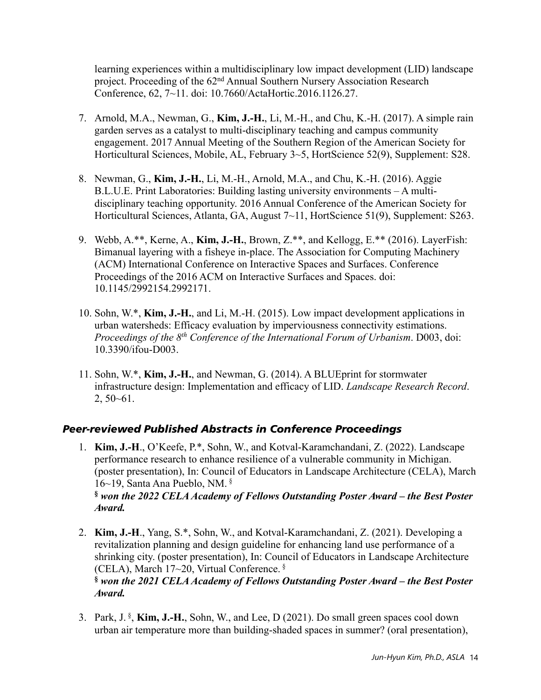learning experiences within a multidisciplinary low impact development (LID) landscape project. Proceeding of the 62nd Annual Southern Nursery Association Research Conference, 62, 7~11. doi: 10.7660/ActaHortic.2016.1126.27.

- 7. Arnold, M.A., Newman, G., **Kim, J.-H.**, Li, M.-H., and Chu, K.-H. (2017). A simple rain garden serves as a catalyst to multi-disciplinary teaching and campus community engagement. 2017 Annual Meeting of the Southern Region of the American Society for Horticultural Sciences, Mobile, AL, February 3~5, HortScience 52(9), Supplement: S28.
- 8. Newman, G., **Kim, J.-H.**, Li, M.-H., Arnold, M.A., and Chu, K.-H. (2016). Aggie B.L.U.E. Print Laboratories: Building lasting university environments – A multidisciplinary teaching opportunity. 2016 Annual Conference of the American Society for Horticultural Sciences, Atlanta, GA, August 7~11, HortScience 51(9), Supplement: S263.
- 9. Webb, A.\*\*, Kerne, A., **Kim, J.-H.**, Brown, Z.\*\*, and Kellogg, E.\*\* (2016). LayerFish: Bimanual layering with a fisheye in-place. The Association for Computing Machinery (ACM) International Conference on Interactive Spaces and Surfaces. Conference Proceedings of the 2016 ACM on Interactive Surfaces and Spaces. doi: 10.1145/2992154.2992171.
- 10. Sohn, W.\*, **Kim, J.-H.**, and Li, M.-H. (2015). Low impact development applications in urban watersheds: Efficacy evaluation by imperviousness connectivity estimations. *Proceedings of the 8th Conference of the International Forum of Urbanism*. D003, doi: 10.3390/ifou-D003.
- 11. Sohn, W.\*, **Kim, J.-H.**, and Newman, G. (2014). A BLUEprint for stormwater infrastructure design: Implementation and efficacy of LID. *Landscape Research Record*. 2, 50~61.

### *Peer-reviewed Published Abstracts in Conference Proceedings*

*Award.*

- 1. **Kim, J.-H**., O'Keefe, P.\*, Sohn, W., and Kotval-Karamchandani, Z. (2022). Landscape performance research to enhance resilience of a vulnerable community in Michigan. (poster presentation), In: Council of Educators in Landscape Architecture (CELA), March 16~19, Santa Ana Pueblo, NM. § **§** *won the 2022 CELA Academy of Fellows Outstanding Poster Award – the Best Poster Award.*
- 2. **Kim, J.-H**., Yang, S.\*, Sohn, W., and Kotval-Karamchandani, Z. (2021). Developing a revitalization planning and design guideline for enhancing land use performance of a shrinking city. (poster presentation), In: Council of Educators in Landscape Architecture (CELA), March 17~20, Virtual Conference. § **§** *won the 2021 CELA Academy of Fellows Outstanding Poster Award – the Best Poster*
- 3. Park, J. § , **Kim, J.-H.**, Sohn, W., and Lee, D (2021). Do small green spaces cool down urban air temperature more than building-shaded spaces in summer? (oral presentation),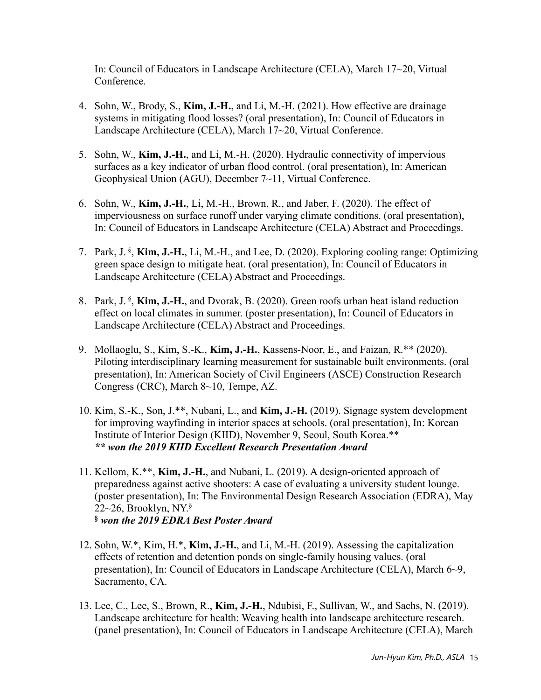In: Council of Educators in Landscape Architecture (CELA), March 17~20, Virtual Conference.

- 4. Sohn, W., Brody, S., **Kim, J.-H.**, and Li, M.-H. (2021). How effective are drainage systems in mitigating flood losses? (oral presentation), In: Council of Educators in Landscape Architecture (CELA), March 17~20, Virtual Conference.
- 5. Sohn, W., **Kim, J.-H.**, and Li, M.-H. (2020). Hydraulic connectivity of impervious surfaces as a key indicator of urban flood control. (oral presentation), In: American Geophysical Union (AGU), December 7~11, Virtual Conference.
- 6. Sohn, W., **Kim, J.-H.**, Li, M.-H., Brown, R., and Jaber, F. (2020). The effect of imperviousness on surface runoff under varying climate conditions. (oral presentation), In: Council of Educators in Landscape Architecture (CELA) Abstract and Proceedings.
- 7. Park, J. § , **Kim, J.-H.**, Li, M.-H., and Lee, D. (2020). Exploring cooling range: Optimizing green space design to mitigate heat. (oral presentation), In: Council of Educators in Landscape Architecture (CELA) Abstract and Proceedings.
- 8. Park, J. § , **Kim, J.-H.**, and Dvorak, B. (2020). Green roofs urban heat island reduction effect on local climates in summer. (poster presentation), In: Council of Educators in Landscape Architecture (CELA) Abstract and Proceedings.
- 9. Mollaoglu, S., Kim, S.-K., **Kim, J.-H.**, Kassens-Noor, E., and Faizan, R.\*\* (2020). Piloting interdisciplinary learning measurement for sustainable built environments. (oral presentation), In: American Society of Civil Engineers (ASCE) Construction Research Congress (CRC), March 8~10, Tempe, AZ.
- 10. Kim, S.-K., Son, J.\*\*, Nubani, L., and **Kim, J.-H.** (2019). Signage system development for improving wayfinding in interior spaces at schools. (oral presentation), In: Korean Institute of Interior Design (KIID), November 9, Seoul, South Korea.\*\* *\*\* won the 2019 KIID Excellent Research Presentation Award*
- 11. Kellom, K.\*\*, **Kim, J.-H.**, and Nubani, L. (2019). A design-oriented approach of preparedness against active shooters: A case of evaluating a university student lounge. (poster presentation), In: The Environmental Design Research Association (EDRA), May 22~26, Brooklyn, NY. $\S$ **§** *won the 2019 EDRA Best Poster Award*
- 12. Sohn, W.\*, Kim, H.\*, **Kim, J.-H.**, and Li, M.-H. (2019). Assessing the capitalization effects of retention and detention ponds on single-family housing values. (oral presentation), In: Council of Educators in Landscape Architecture (CELA), March 6~9, Sacramento, CA.
- 13. Lee, C., Lee, S., Brown, R., **Kim, J.-H.**, Ndubisi, F., Sullivan, W., and Sachs, N. (2019). Landscape architecture for health: Weaving health into landscape architecture research. (panel presentation), In: Council of Educators in Landscape Architecture (CELA), March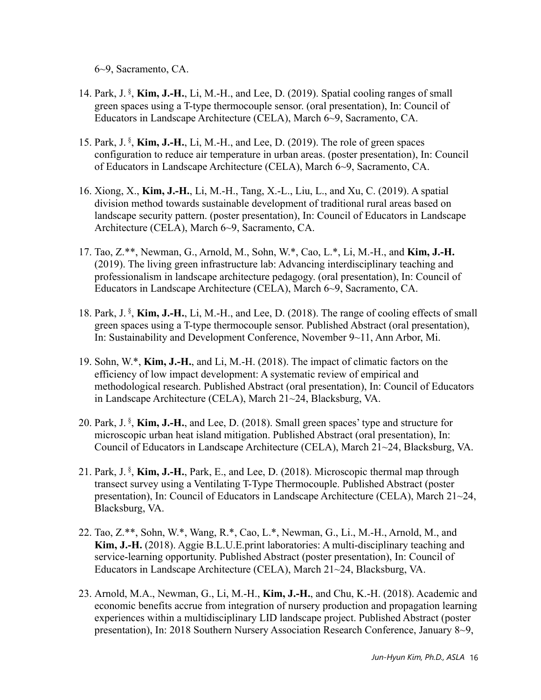6~9, Sacramento, CA.

- 14. Park, J. § , **Kim, J.-H.**, Li, M.-H., and Lee, D. (2019). Spatial cooling ranges of small green spaces using a T-type thermocouple sensor. (oral presentation), In: Council of Educators in Landscape Architecture (CELA), March 6~9, Sacramento, CA.
- 15. Park, J. § , **Kim, J.-H.**, Li, M.-H., and Lee, D. (2019). The role of green spaces configuration to reduce air temperature in urban areas. (poster presentation), In: Council of Educators in Landscape Architecture (CELA), March 6~9, Sacramento, CA.
- 16. Xiong, X., **Kim, J.-H.**, Li, M.-H., Tang, X.-L., Liu, L., and Xu, C. (2019). A spatial division method towards sustainable development of traditional rural areas based on landscape security pattern. (poster presentation), In: Council of Educators in Landscape Architecture (CELA), March 6~9, Sacramento, CA.
- 17. Tao, Z.\*\*, Newman, G., Arnold, M., Sohn, W.\*, Cao, L.\*, Li, M.-H., and **Kim, J.-H.** (2019). The living green infrastructure lab: Advancing interdisciplinary teaching and professionalism in landscape architecture pedagogy. (oral presentation), In: Council of Educators in Landscape Architecture (CELA), March 6~9, Sacramento, CA.
- 18. Park, J. § , **Kim, J.-H.**, Li, M.-H., and Lee, D. (2018). The range of cooling effects of small green spaces using a T-type thermocouple sensor. Published Abstract (oral presentation), In: Sustainability and Development Conference, November 9~11, Ann Arbor, Mi.
- 19. Sohn, W.\*, **Kim, J.-H.**, and Li, M.-H. (2018). The impact of climatic factors on the efficiency of low impact development: A systematic review of empirical and methodological research. Published Abstract (oral presentation), In: Council of Educators in Landscape Architecture (CELA), March 21~24, Blacksburg, VA.
- 20. Park, J. § , **Kim, J.-H.**, and Lee, D. (2018). Small green spaces' type and structure for microscopic urban heat island mitigation. Published Abstract (oral presentation), In: Council of Educators in Landscape Architecture (CELA), March 21~24, Blacksburg, VA.
- 21. Park, J. § , **Kim, J.-H.**, Park, E., and Lee, D. (2018). Microscopic thermal map through transect survey using a Ventilating T-Type Thermocouple. Published Abstract (poster presentation), In: Council of Educators in Landscape Architecture (CELA), March 21~24, Blacksburg, VA.
- 22. Tao, Z.\*\*, Sohn, W.\*, Wang, R.\*, Cao, L.\*, Newman, G., Li., M.-H., Arnold, M., and **Kim, J.-H.** (2018). Aggie B.L.U.E.print laboratories: A multi-disciplinary teaching and service-learning opportunity. Published Abstract (poster presentation), In: Council of Educators in Landscape Architecture (CELA), March 21~24, Blacksburg, VA.
- 23. Arnold, M.A., Newman, G., Li, M.-H., **Kim, J.-H.**, and Chu, K.-H. (2018). Academic and economic benefits accrue from integration of nursery production and propagation learning experiences within a multidisciplinary LID landscape project. Published Abstract (poster presentation), In: 2018 Southern Nursery Association Research Conference, January 8~9,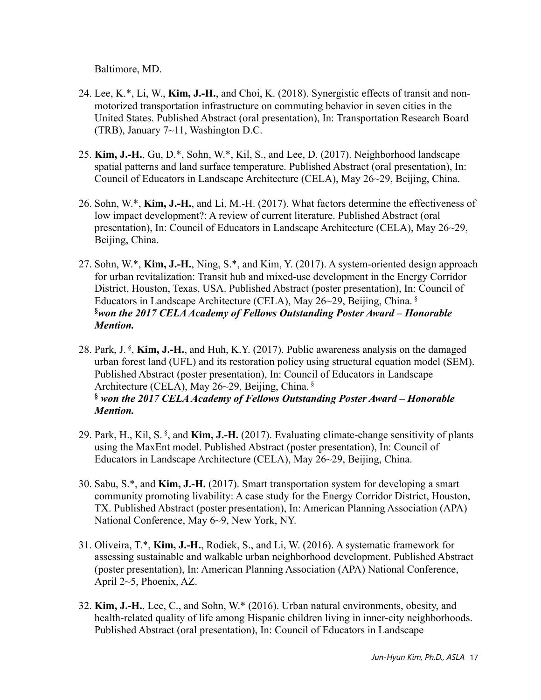Baltimore, MD.

- 24. Lee, K.\*, Li, W., **Kim, J.-H.**, and Choi, K. (2018). Synergistic effects of transit and nonmotorized transportation infrastructure on commuting behavior in seven cities in the United States. Published Abstract (oral presentation), In: Transportation Research Board (TRB), January 7~11, Washington D.C.
- 25. **Kim, J.-H.**, Gu, D.\*, Sohn, W.\*, Kil, S., and Lee, D. (2017). Neighborhood landscape spatial patterns and land surface temperature. Published Abstract (oral presentation), In: Council of Educators in Landscape Architecture (CELA), May 26~29, Beijing, China.
- 26. Sohn, W.\*, **Kim, J.-H.**, and Li, M.-H. (2017). What factors determine the effectiveness of low impact development?: A review of current literature. Published Abstract (oral presentation), In: Council of Educators in Landscape Architecture (CELA), May 26~29, Beijing, China.
- 27. Sohn, W.\*, **Kim, J.-H.**, Ning, S.\*, and Kim, Y. (2017). A system-oriented design approach for urban revitalization: Transit hub and mixed-use development in the Energy Corridor District, Houston, Texas, USA. Published Abstract (poster presentation), In: Council of Educators in Landscape Architecture (CELA), May 26~29, Beijing, China. § **§** *won the 2017 CELA Academy of Fellows Outstanding Poster Award – Honorable Mention.*
- 28. Park, J. § , **Kim, J.-H.**, and Huh, K.Y. (2017). Public awareness analysis on the damaged urban forest land (UFL) and its restoration policy using structural equation model (SEM). Published Abstract (poster presentation), In: Council of Educators in Landscape Architecture (CELA), May 26~29, Beijing, China. § **§** *won the 2017 CELA Academy of Fellows Outstanding Poster Award – Honorable Mention.*
- 29. Park, H., Kil, S. § , and **Kim, J.-H.** (2017). Evaluating climate-change sensitivity of plants using the MaxEnt model. Published Abstract (poster presentation), In: Council of Educators in Landscape Architecture (CELA), May 26~29, Beijing, China.
- 30. Sabu, S.\*, and **Kim, J.-H.** (2017). Smart transportation system for developing a smart community promoting livability: A case study for the Energy Corridor District, Houston, TX. Published Abstract (poster presentation), In: American Planning Association (APA) National Conference, May 6~9, New York, NY.
- 31. Oliveira, T.\*, **Kim, J.-H.**, Rodiek, S., and Li, W. (2016). A systematic framework for assessing sustainable and walkable urban neighborhood development. Published Abstract (poster presentation), In: American Planning Association (APA) National Conference, April 2~5, Phoenix, AZ.
- 32. **Kim, J.-H.**, Lee, C., and Sohn, W.\* (2016). Urban natural environments, obesity, and health-related quality of life among Hispanic children living in inner-city neighborhoods. Published Abstract (oral presentation), In: Council of Educators in Landscape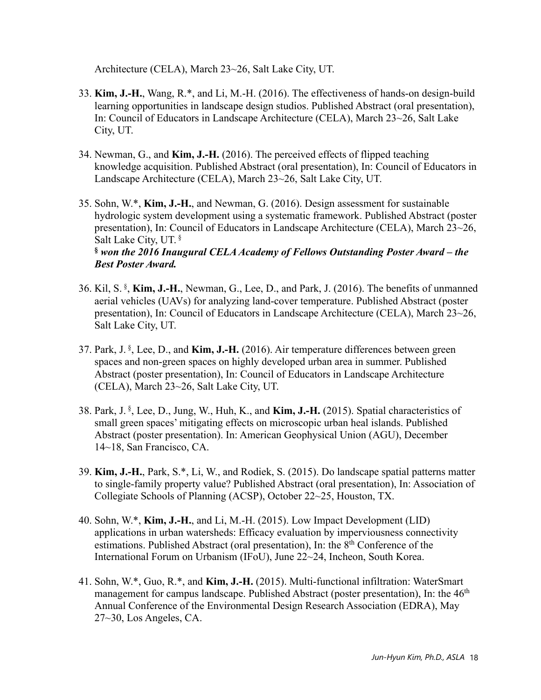Architecture (CELA), March 23~26, Salt Lake City, UT.

- 33. **Kim, J.-H.**, Wang, R.\*, and Li, M.-H. (2016). The effectiveness of hands-on design-build learning opportunities in landscape design studios. Published Abstract (oral presentation), In: Council of Educators in Landscape Architecture (CELA), March 23~26, Salt Lake City, UT.
- 34. Newman, G., and **Kim, J.-H.** (2016). The perceived effects of flipped teaching knowledge acquisition. Published Abstract (oral presentation), In: Council of Educators in Landscape Architecture (CELA), March 23~26, Salt Lake City, UT.
- 35. Sohn, W.\*, **Kim, J.-H.**, and Newman, G. (2016). Design assessment for sustainable hydrologic system development using a systematic framework. Published Abstract (poster presentation), In: Council of Educators in Landscape Architecture (CELA), March 23~26, Salt Lake City, UT. § **§** *won the 2016 Inaugural CELA Academy of Fellows Outstanding Poster Award – the Best Poster Award.*
- 36. Kil, S. § , **Kim, J.-H.**, Newman, G., Lee, D., and Park, J. (2016). The benefits of unmanned aerial vehicles (UAVs) for analyzing land-cover temperature. Published Abstract (poster presentation), In: Council of Educators in Landscape Architecture (CELA), March 23~26, Salt Lake City, UT.
- 37. Park, J. § , Lee, D., and **Kim, J.-H.** (2016). Air temperature differences between green spaces and non-green spaces on highly developed urban area in summer. Published Abstract (poster presentation), In: Council of Educators in Landscape Architecture (CELA), March 23~26, Salt Lake City, UT.
- 38. Park, J. § , Lee, D., Jung, W., Huh, K., and **Kim, J.-H.** (2015). Spatial characteristics of small green spaces' mitigating effects on microscopic urban heal islands. Published Abstract (poster presentation). In: American Geophysical Union (AGU), December 14~18, San Francisco, CA.
- 39. **Kim, J.-H.**, Park, S.\*, Li, W., and Rodiek, S. (2015). Do landscape spatial patterns matter to single-family property value? Published Abstract (oral presentation), In: Association of Collegiate Schools of Planning (ACSP), October 22~25, Houston, TX.
- 40. Sohn, W.\*, **Kim, J.-H.**, and Li, M.-H. (2015). Low Impact Development (LID) applications in urban watersheds: Efficacy evaluation by imperviousness connectivity estimations. Published Abstract (oral presentation), In: the 8th Conference of the International Forum on Urbanism (IFoU), June 22~24, Incheon, South Korea.
- 41. Sohn, W.\*, Guo, R.\*, and **Kim, J.-H.** (2015). Multi-functional infiltration: WaterSmart management for campus landscape. Published Abstract (poster presentation), In: the 46<sup>th</sup> Annual Conference of the Environmental Design Research Association (EDRA), May 27~30, Los Angeles, CA.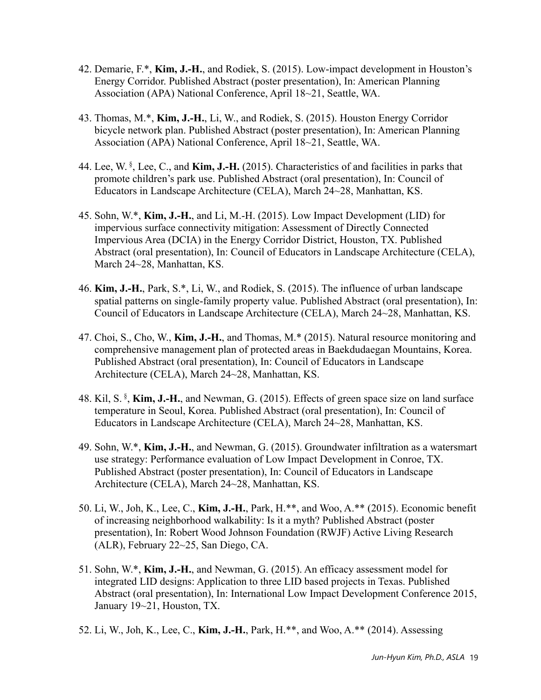- 42. Demarie, F.\*, **Kim, J.-H.**, and Rodiek, S. (2015). Low-impact development in Houston's Energy Corridor. Published Abstract (poster presentation), In: American Planning Association (APA) National Conference, April 18~21, Seattle, WA.
- 43. Thomas, M.\*, **Kim, J.-H.**, Li, W., and Rodiek, S. (2015). Houston Energy Corridor bicycle network plan. Published Abstract (poster presentation), In: American Planning Association (APA) National Conference, April 18~21, Seattle, WA.
- 44. Lee, W. § , Lee, C., and **Kim, J.-H.** (2015). Characteristics of and facilities in parks that promote children's park use. Published Abstract (oral presentation), In: Council of Educators in Landscape Architecture (CELA), March 24~28, Manhattan, KS.
- 45. Sohn, W.\*, **Kim, J.-H.**, and Li, M.-H. (2015). Low Impact Development (LID) for impervious surface connectivity mitigation: Assessment of Directly Connected Impervious Area (DCIA) in the Energy Corridor District, Houston, TX. Published Abstract (oral presentation), In: Council of Educators in Landscape Architecture (CELA), March 24~28, Manhattan, KS.
- 46. **Kim, J.-H.**, Park, S.\*, Li, W., and Rodiek, S. (2015). The influence of urban landscape spatial patterns on single-family property value. Published Abstract (oral presentation), In: Council of Educators in Landscape Architecture (CELA), March 24~28, Manhattan, KS.
- 47. Choi, S., Cho, W., **Kim, J.-H.**, and Thomas, M.\* (2015). Natural resource monitoring and comprehensive management plan of protected areas in Baekdudaegan Mountains, Korea. Published Abstract (oral presentation), In: Council of Educators in Landscape Architecture (CELA), March 24~28, Manhattan, KS.
- 48. Kil, S. § , **Kim, J.-H.**, and Newman, G. (2015). Effects of green space size on land surface temperature in Seoul, Korea. Published Abstract (oral presentation), In: Council of Educators in Landscape Architecture (CELA), March 24~28, Manhattan, KS.
- 49. Sohn, W.\*, **Kim, J.-H.**, and Newman, G. (2015). Groundwater infiltration as a watersmart use strategy: Performance evaluation of Low Impact Development in Conroe, TX. Published Abstract (poster presentation), In: Council of Educators in Landscape Architecture (CELA), March 24~28, Manhattan, KS.
- 50. Li, W., Joh, K., Lee, C., **Kim, J.-H.**, Park, H.\*\*, and Woo, A.\*\* (2015). Economic benefit of increasing neighborhood walkability: Is it a myth? Published Abstract (poster presentation), In: Robert Wood Johnson Foundation (RWJF) Active Living Research (ALR), February 22~25, San Diego, CA.
- 51. Sohn, W.\*, **Kim, J.-H.**, and Newman, G. (2015). An efficacy assessment model for integrated LID designs: Application to three LID based projects in Texas. Published Abstract (oral presentation), In: International Low Impact Development Conference 2015, January 19~21, Houston, TX.
- 52. Li, W., Joh, K., Lee, C., **Kim, J.-H.**, Park, H.\*\*, and Woo, A.\*\* (2014). Assessing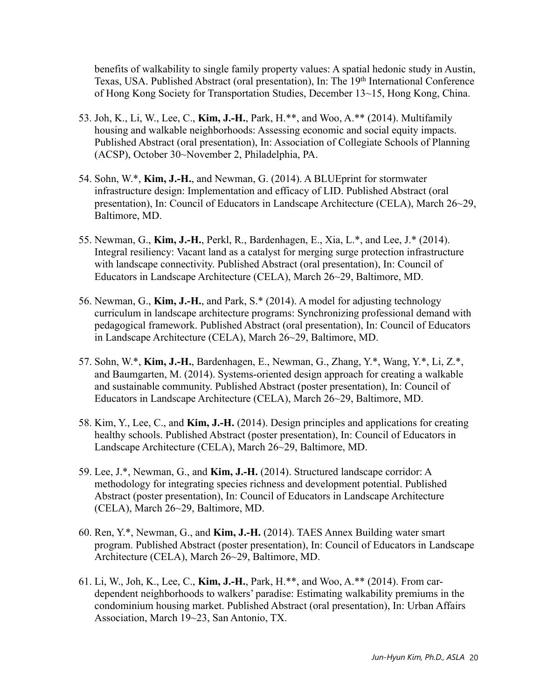benefits of walkability to single family property values: A spatial hedonic study in Austin, Texas, USA. Published Abstract (oral presentation), In: The 19<sup>th</sup> International Conference of Hong Kong Society for Transportation Studies, December 13~15, Hong Kong, China.

- 53. Joh, K., Li, W., Lee, C., **Kim, J.-H.**, Park, H.\*\*, and Woo, A.\*\* (2014). Multifamily housing and walkable neighborhoods: Assessing economic and social equity impacts. Published Abstract (oral presentation), In: Association of Collegiate Schools of Planning (ACSP), October 30~November 2, Philadelphia, PA.
- 54. Sohn, W.\*, **Kim, J.-H.**, and Newman, G. (2014). A BLUEprint for stormwater infrastructure design: Implementation and efficacy of LID. Published Abstract (oral presentation), In: Council of Educators in Landscape Architecture (CELA), March 26~29, Baltimore, MD.
- 55. Newman, G., **Kim, J.-H.**, Perkl, R., Bardenhagen, E., Xia, L.\*, and Lee, J.\* (2014). Integral resiliency: Vacant land as a catalyst for merging surge protection infrastructure with landscape connectivity. Published Abstract (oral presentation), In: Council of Educators in Landscape Architecture (CELA), March 26~29, Baltimore, MD.
- 56. Newman, G., **Kim, J.-H.**, and Park, S.\* (2014). A model for adjusting technology curriculum in landscape architecture programs: Synchronizing professional demand with pedagogical framework. Published Abstract (oral presentation), In: Council of Educators in Landscape Architecture (CELA), March 26~29, Baltimore, MD.
- 57. Sohn, W.\*, **Kim, J.-H.**, Bardenhagen, E., Newman, G., Zhang, Y.\*, Wang, Y.\*, Li, Z.\*, and Baumgarten, M. (2014). Systems-oriented design approach for creating a walkable and sustainable community. Published Abstract (poster presentation), In: Council of Educators in Landscape Architecture (CELA), March 26~29, Baltimore, MD.
- 58. Kim, Y., Lee, C., and **Kim, J.-H.** (2014). Design principles and applications for creating healthy schools. Published Abstract (poster presentation), In: Council of Educators in Landscape Architecture (CELA), March 26~29, Baltimore, MD.
- 59. Lee, J.\*, Newman, G., and **Kim, J.-H.** (2014). Structured landscape corridor: A methodology for integrating species richness and development potential. Published Abstract (poster presentation), In: Council of Educators in Landscape Architecture (CELA), March 26~29, Baltimore, MD.
- 60. Ren, Y.\*, Newman, G., and **Kim, J.-H.** (2014). TAES Annex Building water smart program. Published Abstract (poster presentation), In: Council of Educators in Landscape Architecture (CELA), March 26~29, Baltimore, MD.
- 61. Li, W., Joh, K., Lee, C., **Kim, J.-H.**, Park, H.\*\*, and Woo, A.\*\* (2014). From cardependent neighborhoods to walkers' paradise: Estimating walkability premiums in the condominium housing market. Published Abstract (oral presentation), In: Urban Affairs Association, March 19~23, San Antonio, TX.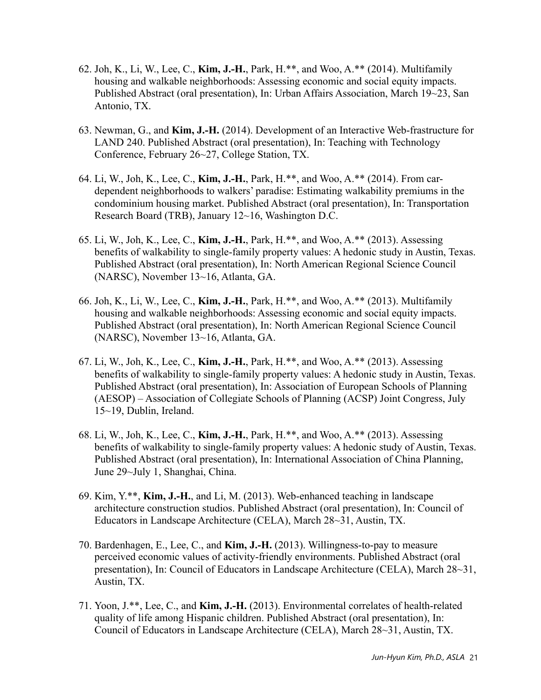- 62. Joh, K., Li, W., Lee, C., **Kim, J.-H.**, Park, H.\*\*, and Woo, A.\*\* (2014). Multifamily housing and walkable neighborhoods: Assessing economic and social equity impacts. Published Abstract (oral presentation), In: Urban Affairs Association, March 19~23, San Antonio, TX.
- 63. Newman, G., and **Kim, J.-H.** (2014). Development of an Interactive Web-frastructure for LAND 240. Published Abstract (oral presentation), In: Teaching with Technology Conference, February 26~27, College Station, TX.
- 64. Li, W., Joh, K., Lee, C., **Kim, J.-H.**, Park, H.\*\*, and Woo, A.\*\* (2014). From cardependent neighborhoods to walkers' paradise: Estimating walkability premiums in the condominium housing market. Published Abstract (oral presentation), In: Transportation Research Board (TRB), January 12~16, Washington D.C.
- 65. Li, W., Joh, K., Lee, C., **Kim, J.-H.**, Park, H.\*\*, and Woo, A.\*\* (2013). Assessing benefits of walkability to single-family property values: A hedonic study in Austin, Texas. Published Abstract (oral presentation), In: North American Regional Science Council (NARSC), November 13~16, Atlanta, GA.
- 66. Joh, K., Li, W., Lee, C., **Kim, J.-H.**, Park, H.\*\*, and Woo, A.\*\* (2013). Multifamily housing and walkable neighborhoods: Assessing economic and social equity impacts. Published Abstract (oral presentation), In: North American Regional Science Council (NARSC), November 13~16, Atlanta, GA.
- 67. Li, W., Joh, K., Lee, C., **Kim, J.-H.**, Park, H.\*\*, and Woo, A.\*\* (2013). Assessing benefits of walkability to single-family property values: A hedonic study in Austin, Texas. Published Abstract (oral presentation), In: Association of European Schools of Planning (AESOP) – Association of Collegiate Schools of Planning (ACSP) Joint Congress, July 15~19, Dublin, Ireland.
- 68. Li, W., Joh, K., Lee, C., **Kim, J.-H.**, Park, H.\*\*, and Woo, A.\*\* (2013). Assessing benefits of walkability to single-family property values: A hedonic study of Austin, Texas. Published Abstract (oral presentation), In: International Association of China Planning, June 29~July 1, Shanghai, China.
- 69. Kim, Y.\*\*, **Kim, J.-H.**, and Li, M. (2013). Web-enhanced teaching in landscape architecture construction studios. Published Abstract (oral presentation), In: Council of Educators in Landscape Architecture (CELA), March 28~31, Austin, TX.
- 70. Bardenhagen, E., Lee, C., and **Kim, J.-H.** (2013). Willingness-to-pay to measure perceived economic values of activity-friendly environments. Published Abstract (oral presentation), In: Council of Educators in Landscape Architecture (CELA), March 28~31, Austin, TX.
- 71. Yoon, J.\*\*, Lee, C., and **Kim, J.-H.** (2013). Environmental correlates of health-related quality of life among Hispanic children. Published Abstract (oral presentation), In: Council of Educators in Landscape Architecture (CELA), March 28~31, Austin, TX.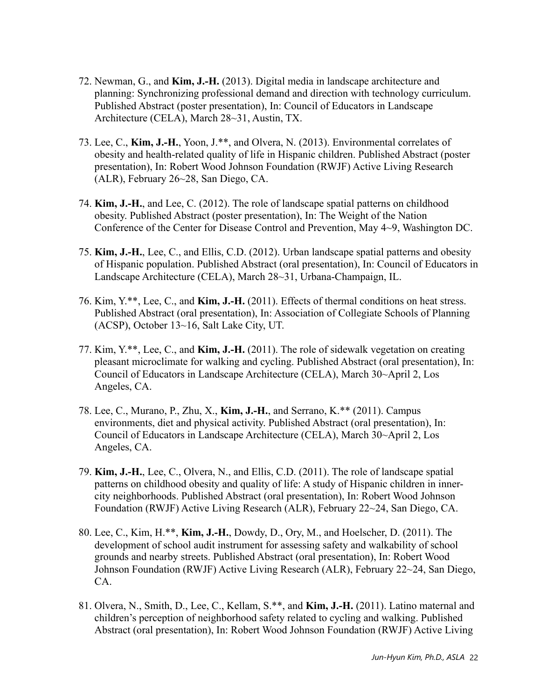- 72. Newman, G., and **Kim, J.-H.** (2013). Digital media in landscape architecture and planning: Synchronizing professional demand and direction with technology curriculum. Published Abstract (poster presentation), In: Council of Educators in Landscape Architecture (CELA), March 28~31, Austin, TX.
- 73. Lee, C., **Kim, J.-H.**, Yoon, J.\*\*, and Olvera, N. (2013). Environmental correlates of obesity and health-related quality of life in Hispanic children. Published Abstract (poster presentation), In: Robert Wood Johnson Foundation (RWJF) Active Living Research (ALR), February 26~28, San Diego, CA.
- 74. **Kim, J.-H.**, and Lee, C. (2012). The role of landscape spatial patterns on childhood obesity. Published Abstract (poster presentation), In: The Weight of the Nation Conference of the Center for Disease Control and Prevention, May 4~9, Washington DC.
- 75. **Kim, J.-H.**, Lee, C., and Ellis, C.D. (2012). Urban landscape spatial patterns and obesity of Hispanic population. Published Abstract (oral presentation), In: Council of Educators in Landscape Architecture (CELA), March 28~31, Urbana-Champaign, IL.
- 76. Kim, Y.\*\*, Lee, C., and **Kim, J.-H.** (2011). Effects of thermal conditions on heat stress. Published Abstract (oral presentation), In: Association of Collegiate Schools of Planning (ACSP), October 13~16, Salt Lake City, UT.
- 77. Kim, Y.\*\*, Lee, C., and **Kim, J.-H.** (2011). The role of sidewalk vegetation on creating pleasant microclimate for walking and cycling. Published Abstract (oral presentation), In: Council of Educators in Landscape Architecture (CELA), March 30~April 2, Los Angeles, CA.
- 78. Lee, C., Murano, P., Zhu, X., **Kim, J.-H.**, and Serrano, K.\*\* (2011). Campus environments, diet and physical activity. Published Abstract (oral presentation), In: Council of Educators in Landscape Architecture (CELA), March 30~April 2, Los Angeles, CA.
- 79. **Kim, J.-H.**, Lee, C., Olvera, N., and Ellis, C.D. (2011). The role of landscape spatial patterns on childhood obesity and quality of life: A study of Hispanic children in innercity neighborhoods. Published Abstract (oral presentation), In: Robert Wood Johnson Foundation (RWJF) Active Living Research (ALR), February 22~24, San Diego, CA.
- 80. Lee, C., Kim, H.\*\*, **Kim, J.-H.**, Dowdy, D., Ory, M., and Hoelscher, D. (2011). The development of school audit instrument for assessing safety and walkability of school grounds and nearby streets. Published Abstract (oral presentation), In: Robert Wood Johnson Foundation (RWJF) Active Living Research (ALR), February 22~24, San Diego, CA.
- 81. Olvera, N., Smith, D., Lee, C., Kellam, S.\*\*, and **Kim, J.-H.** (2011). Latino maternal and children's perception of neighborhood safety related to cycling and walking. Published Abstract (oral presentation), In: Robert Wood Johnson Foundation (RWJF) Active Living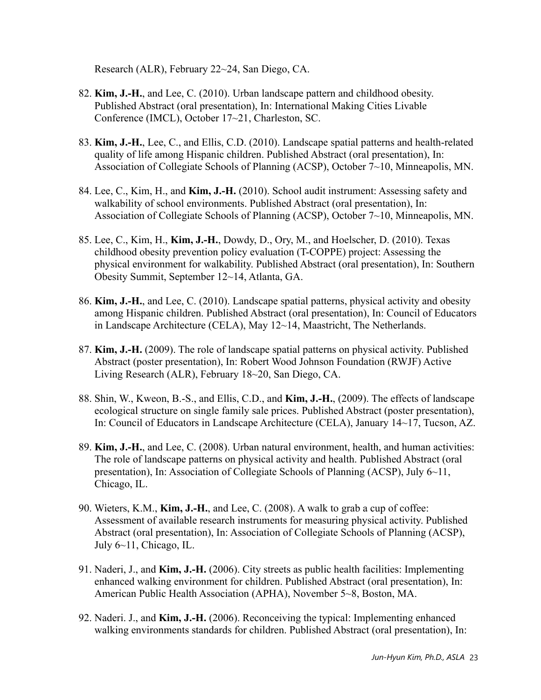Research (ALR), February 22~24, San Diego, CA.

- 82. **Kim, J.-H.**, and Lee, C. (2010). Urban landscape pattern and childhood obesity. Published Abstract (oral presentation), In: International Making Cities Livable Conference (IMCL), October 17~21, Charleston, SC.
- 83. **Kim, J.-H.**, Lee, C., and Ellis, C.D. (2010). Landscape spatial patterns and health-related quality of life among Hispanic children. Published Abstract (oral presentation), In: Association of Collegiate Schools of Planning (ACSP), October 7~10, Minneapolis, MN.
- 84. Lee, C., Kim, H., and **Kim, J.-H.** (2010). School audit instrument: Assessing safety and walkability of school environments. Published Abstract (oral presentation), In: Association of Collegiate Schools of Planning (ACSP), October 7~10, Minneapolis, MN.
- 85. Lee, C., Kim, H., **Kim, J.-H.**, Dowdy, D., Ory, M., and Hoelscher, D. (2010). Texas childhood obesity prevention policy evaluation (T-COPPE) project: Assessing the physical environment for walkability. Published Abstract (oral presentation), In: Southern Obesity Summit, September 12~14, Atlanta, GA.
- 86. **Kim, J.-H.**, and Lee, C. (2010). Landscape spatial patterns, physical activity and obesity among Hispanic children. Published Abstract (oral presentation), In: Council of Educators in Landscape Architecture (CELA), May 12~14, Maastricht, The Netherlands.
- 87. **Kim, J.-H.** (2009). The role of landscape spatial patterns on physical activity. Published Abstract (poster presentation), In: Robert Wood Johnson Foundation (RWJF) Active Living Research (ALR), February 18~20, San Diego, CA.
- 88. Shin, W., Kweon, B.-S., and Ellis, C.D., and **Kim, J.-H.**, (2009). The effects of landscape ecological structure on single family sale prices. Published Abstract (poster presentation), In: Council of Educators in Landscape Architecture (CELA), January 14~17, Tucson, AZ.
- 89. **Kim, J.-H.**, and Lee, C. (2008). Urban natural environment, health, and human activities: The role of landscape patterns on physical activity and health. Published Abstract (oral presentation), In: Association of Collegiate Schools of Planning (ACSP), July 6~11, Chicago, IL.
- 90. Wieters, K.M., **Kim, J.-H.**, and Lee, C. (2008). A walk to grab a cup of coffee: Assessment of available research instruments for measuring physical activity. Published Abstract (oral presentation), In: Association of Collegiate Schools of Planning (ACSP), July 6~11, Chicago, IL.
- 91. Naderi, J., and **Kim, J.-H.** (2006). City streets as public health facilities: Implementing enhanced walking environment for children. Published Abstract (oral presentation), In: American Public Health Association (APHA), November 5~8, Boston, MA.
- 92. Naderi. J., and **Kim, J.-H.** (2006). Reconceiving the typical: Implementing enhanced walking environments standards for children. Published Abstract (oral presentation), In: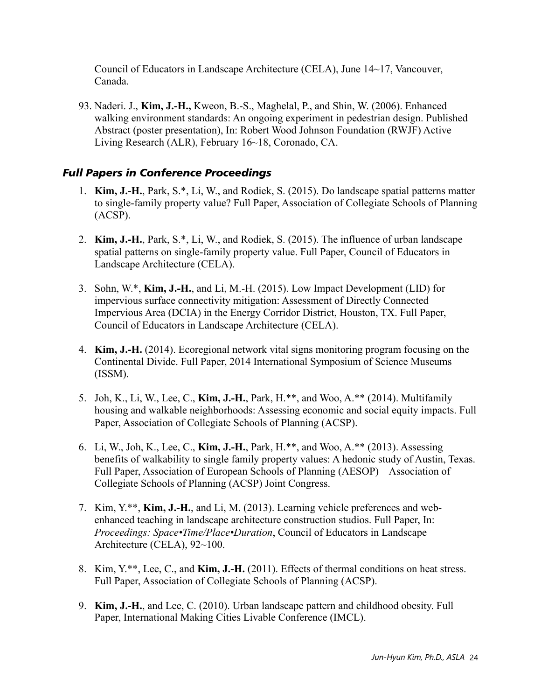Council of Educators in Landscape Architecture (CELA), June 14~17, Vancouver, Canada.

93. Naderi. J., **Kim, J.-H.,** Kweon, B.-S., Maghelal, P., and Shin, W. (2006). Enhanced walking environment standards: An ongoing experiment in pedestrian design. Published Abstract (poster presentation), In: Robert Wood Johnson Foundation (RWJF) Active Living Research (ALR), February 16~18, Coronado, CA.

#### *Full Papers in Conference Proceedings*

- 1. **Kim, J.-H.**, Park, S.\*, Li, W., and Rodiek, S. (2015). Do landscape spatial patterns matter to single-family property value? Full Paper, Association of Collegiate Schools of Planning (ACSP).
- 2. **Kim, J.-H.**, Park, S.\*, Li, W., and Rodiek, S. (2015). The influence of urban landscape spatial patterns on single-family property value. Full Paper, Council of Educators in Landscape Architecture (CELA).
- 3. Sohn, W.\*, **Kim, J.-H.**, and Li, M.-H. (2015). Low Impact Development (LID) for impervious surface connectivity mitigation: Assessment of Directly Connected Impervious Area (DCIA) in the Energy Corridor District, Houston, TX. Full Paper, Council of Educators in Landscape Architecture (CELA).
- 4. **Kim, J.-H.** (2014). Ecoregional network vital signs monitoring program focusing on the Continental Divide. Full Paper, 2014 International Symposium of Science Museums (ISSM).
- 5. Joh, K., Li, W., Lee, C., **Kim, J.-H.**, Park, H.\*\*, and Woo, A.\*\* (2014). Multifamily housing and walkable neighborhoods: Assessing economic and social equity impacts. Full Paper, Association of Collegiate Schools of Planning (ACSP).
- 6. Li, W., Joh, K., Lee, C., **Kim, J.-H.**, Park, H.\*\*, and Woo, A.\*\* (2013). Assessing benefits of walkability to single family property values: A hedonic study of Austin, Texas. Full Paper, Association of European Schools of Planning (AESOP) – Association of Collegiate Schools of Planning (ACSP) Joint Congress.
- 7. Kim, Y.\*\*, **Kim, J.-H.**, and Li, M. (2013). Learning vehicle preferences and webenhanced teaching in landscape architecture construction studios. Full Paper, In: *Proceedings: Space•Time/Place•Duration*, Council of Educators in Landscape Architecture (CELA), 92~100.
- 8. Kim, Y.\*\*, Lee, C., and **Kim, J.-H.** (2011). Effects of thermal conditions on heat stress. Full Paper, Association of Collegiate Schools of Planning (ACSP).
- 9. **Kim, J.-H.**, and Lee, C. (2010). Urban landscape pattern and childhood obesity. Full Paper, International Making Cities Livable Conference (IMCL).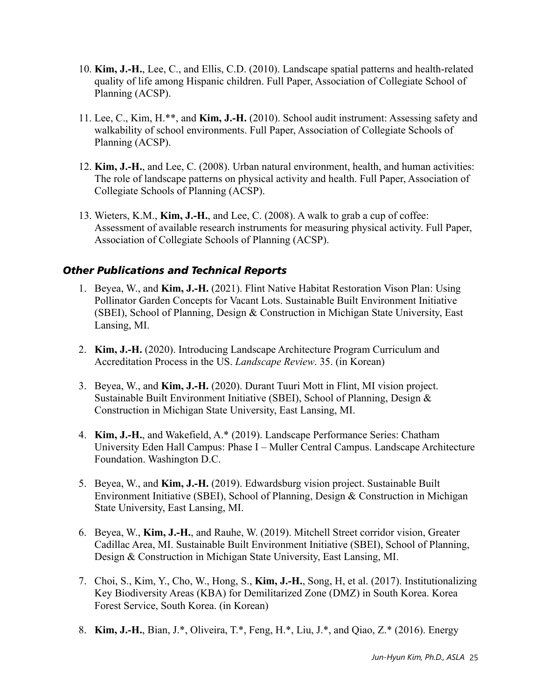- 10. **Kim, J.-H.**, Lee, C., and Ellis, C.D. (2010). Landscape spatial patterns and health-related quality of life among Hispanic children. Full Paper, Association of Collegiate School of Planning (ACSP).
- 11. Lee, C., Kim, H.\*\*, and **Kim, J.-H.** (2010). School audit instrument: Assessing safety and walkability of school environments. Full Paper, Association of Collegiate Schools of Planning (ACSP).
- 12. **Kim, J.-H.**, and Lee, C. (2008). Urban natural environment, health, and human activities: The role of landscape patterns on physical activity and health. Full Paper, Association of Collegiate Schools of Planning (ACSP).
- 13. Wieters, K.M., **Kim, J.-H.**, and Lee, C. (2008). A walk to grab a cup of coffee: Assessment of available research instruments for measuring physical activity. Full Paper, Association of Collegiate Schools of Planning (ACSP).

#### *Other Publications and Technical Reports*

- 1. Beyea, W., and **Kim, J.-H.** (2021). Flint Native Habitat Restoration Vison Plan: Using Pollinator Garden Concepts for Vacant Lots. Sustainable Built Environment Initiative (SBEI), School of Planning, Design & Construction in Michigan State University, East Lansing, MI.
- 2. **Kim, J.-H.** (2020). Introducing Landscape Architecture Program Curriculum and Accreditation Process in the US. *Landscape Review*. 35. (in Korean)
- 3. Beyea, W., and **Kim, J.-H.** (2020). Durant Tuuri Mott in Flint, MI vision project. Sustainable Built Environment Initiative (SBEI), School of Planning, Design & Construction in Michigan State University, East Lansing, MI.
- 4. **Kim, J.-H.**, and Wakefield, A.\* (2019). Landscape Performance Series: Chatham University Eden Hall Campus: Phase I – Muller Central Campus. Landscape Architecture Foundation. Washington D.C.
- 5. Beyea, W., and **Kim, J.-H.** (2019). Edwardsburg vision project. Sustainable Built Environment Initiative (SBEI), School of Planning, Design & Construction in Michigan State University, East Lansing, MI.
- 6. Beyea, W., **Kim, J.-H.**, and Rauhe, W. (2019). Mitchell Street corridor vision, Greater Cadillac Area, MI. Sustainable Built Environment Initiative (SBEI), School of Planning, Design & Construction in Michigan State University, East Lansing, MI.
- 7. Choi, S., Kim, Y., Cho, W., Hong, S., **Kim, J.-H.**, Song, H, et al. (2017). Institutionalizing Key Biodiversity Areas (KBA) for Demilitarized Zone (DMZ) in South Korea. Korea Forest Service, South Korea. (in Korean)
- 8. **Kim, J.-H.**, Bian, J.\*, Oliveira, T.\*, Feng, H.\*, Liu, J.\*, and Qiao, Z.\* (2016). Energy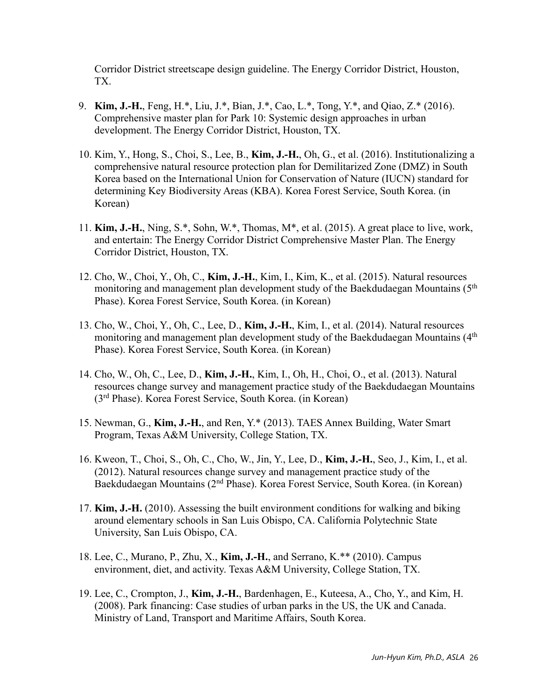Corridor District streetscape design guideline. The Energy Corridor District, Houston, TX.

- 9. **Kim, J.-H.**, Feng, H.\*, Liu, J.\*, Bian, J.\*, Cao, L.\*, Tong, Y.\*, and Qiao, Z.\* (2016). Comprehensive master plan for Park 10: Systemic design approaches in urban development. The Energy Corridor District, Houston, TX.
- 10. Kim, Y., Hong, S., Choi, S., Lee, B., **Kim, J.-H.**, Oh, G., et al. (2016). Institutionalizing a comprehensive natural resource protection plan for Demilitarized Zone (DMZ) in South Korea based on the International Union for Conservation of Nature (IUCN) standard for determining Key Biodiversity Areas (KBA). Korea Forest Service, South Korea. (in Korean)
- 11. **Kim, J.-H.**, Ning, S.\*, Sohn, W.\*, Thomas, M\*, et al. (2015). A great place to live, work, and entertain: The Energy Corridor District Comprehensive Master Plan. The Energy Corridor District, Houston, TX.
- 12. Cho, W., Choi, Y., Oh, C., **Kim, J.-H.**, Kim, I., Kim, K., et al. (2015). Natural resources monitoring and management plan development study of the Baekdudaegan Mountains (5<sup>th</sup>) Phase). Korea Forest Service, South Korea. (in Korean)
- 13. Cho, W., Choi, Y., Oh, C., Lee, D., **Kim, J.-H.**, Kim, I., et al. (2014). Natural resources monitoring and management plan development study of the Baekdudaegan Mountains (4<sup>th</sup>) Phase). Korea Forest Service, South Korea. (in Korean)
- 14. Cho, W., Oh, C., Lee, D., **Kim, J.-H.**, Kim, I., Oh, H., Choi, O., et al. (2013). Natural resources change survey and management practice study of the Baekdudaegan Mountains (3rd Phase). Korea Forest Service, South Korea. (in Korean)
- 15. Newman, G., **Kim, J.-H.**, and Ren, Y.\* (2013). TAES Annex Building, Water Smart Program, Texas A&M University, College Station, TX.
- 16. Kweon, T., Choi, S., Oh, C., Cho, W., Jin, Y., Lee, D., **Kim, J.-H.**, Seo, J., Kim, I., et al. (2012). Natural resources change survey and management practice study of the Baekdudaegan Mountains (2nd Phase). Korea Forest Service, South Korea. (in Korean)
- 17. **Kim, J.-H.** (2010). Assessing the built environment conditions for walking and biking around elementary schools in San Luis Obispo, CA. California Polytechnic State University, San Luis Obispo, CA.
- 18. Lee, C., Murano, P., Zhu, X., **Kim, J.-H.**, and Serrano, K.\*\* (2010). Campus environment, diet, and activity. Texas A&M University, College Station, TX.
- 19. Lee, C., Crompton, J., **Kim, J.-H.**, Bardenhagen, E., Kuteesa, A., Cho, Y., and Kim, H. (2008). Park financing: Case studies of urban parks in the US, the UK and Canada. Ministry of Land, Transport and Maritime Affairs, South Korea.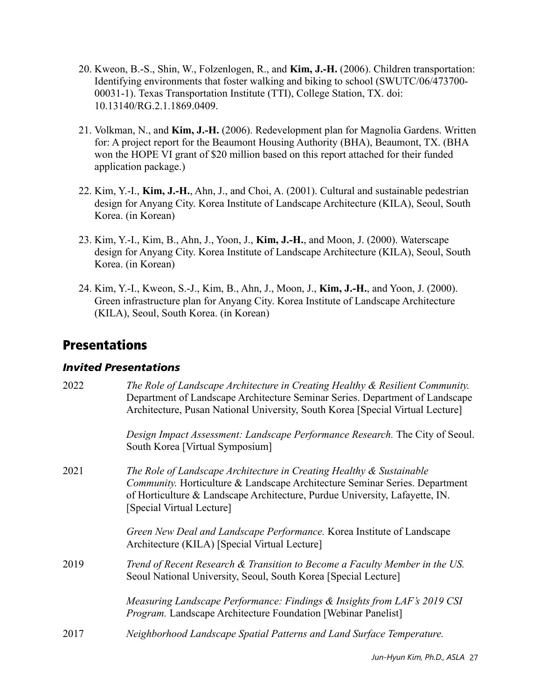- 20. Kweon, B.-S., Shin, W., Folzenlogen, R., and **Kim, J.-H.** (2006). Children transportation: Identifying environments that foster walking and biking to school (SWUTC/06/473700- 00031-1). Texas Transportation Institute (TTI), College Station, TX. doi: 10.13140/RG.2.1.1869.0409.
- 21. Volkman, N., and **Kim, J.-H.** (2006). Redevelopment plan for Magnolia Gardens. Written for: A project report for the Beaumont Housing Authority (BHA), Beaumont, TX. (BHA won the HOPE VI grant of \$20 million based on this report attached for their funded application package.)
- 22. Kim, Y.-I., **Kim, J.-H.**, Ahn, J., and Choi, A. (2001). Cultural and sustainable pedestrian design for Anyang City. Korea Institute of Landscape Architecture (KILA), Seoul, South Korea. (in Korean)
- 23. Kim, Y.-I., Kim, B., Ahn, J., Yoon, J., **Kim, J.-H.**, and Moon, J. (2000). Waterscape design for Anyang City. Korea Institute of Landscape Architecture (KILA), Seoul, South Korea. (in Korean)
- 24. Kim, Y.-I., Kweon, S.-J., Kim, B., Ahn, J., Moon, J., **Kim, J.-H.**, and Yoon, J. (2000). Green infrastructure plan for Anyang City. Korea Institute of Landscape Architecture (KILA), Seoul, South Korea. (in Korean)

### **Presentations**

#### *Invited Presentations*

| 2022 | The Role of Landscape Architecture in Creating Healthy & Resilient Community.<br>Department of Landscape Architecture Seminar Series. Department of Landscape<br>Architecture, Pusan National University, South Korea [Special Virtual Lecture]                 |
|------|-----------------------------------------------------------------------------------------------------------------------------------------------------------------------------------------------------------------------------------------------------------------|
|      | Design Impact Assessment: Landscape Performance Research. The City of Seoul.<br>South Korea [Virtual Symposium]                                                                                                                                                 |
| 2021 | The Role of Landscape Architecture in Creating Healthy & Sustainable<br>Community. Horticulture & Landscape Architecture Seminar Series. Department<br>of Horticulture & Landscape Architecture, Purdue University, Lafayette, IN.<br>[Special Virtual Lecture] |
|      | Green New Deal and Landscape Performance. Korea Institute of Landscape<br>Architecture (KILA) [Special Virtual Lecture]                                                                                                                                         |
| 2019 | Trend of Recent Research & Transition to Become a Faculty Member in the US.<br>Seoul National University, Seoul, South Korea [Special Lecture]                                                                                                                  |
|      | Measuring Landscape Performance: Findings & Insights from LAF's 2019 CSI<br><i>Program.</i> Landscape Architecture Foundation [Webinar Panelist]                                                                                                                |
| 2017 | Neighborhood Landscape Spatial Patterns and Land Surface Temperature.                                                                                                                                                                                           |
|      |                                                                                                                                                                                                                                                                 |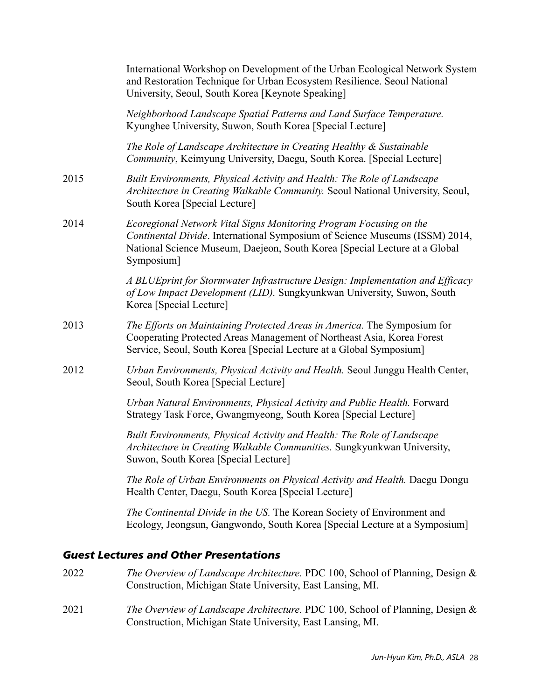|      | International Workshop on Development of the Urban Ecological Network System<br>and Restoration Technique for Urban Ecosystem Resilience. Seoul National<br>University, Seoul, South Korea [Keynote Speaking]                                 |
|------|-----------------------------------------------------------------------------------------------------------------------------------------------------------------------------------------------------------------------------------------------|
|      | Neighborhood Landscape Spatial Patterns and Land Surface Temperature.<br>Kyunghee University, Suwon, South Korea [Special Lecture]                                                                                                            |
|      | The Role of Landscape Architecture in Creating Healthy & Sustainable<br>Community, Keimyung University, Daegu, South Korea. [Special Lecture]                                                                                                 |
| 2015 | Built Environments, Physical Activity and Health: The Role of Landscape<br>Architecture in Creating Walkable Community. Seoul National University, Seoul,<br>South Korea [Special Lecture]                                                    |
| 2014 | Ecoregional Network Vital Signs Monitoring Program Focusing on the<br>Continental Divide. International Symposium of Science Museums (ISSM) 2014,<br>National Science Museum, Daejeon, South Korea [Special Lecture at a Global<br>Symposium] |
|      | A BLUEprint for Stormwater Infrastructure Design: Implementation and Efficacy<br>of Low Impact Development (LID). Sungkyunkwan University, Suwon, South<br>Korea [Special Lecture]                                                            |
| 2013 | The Efforts on Maintaining Protected Areas in America. The Symposium for<br>Cooperating Protected Areas Management of Northeast Asia, Korea Forest<br>Service, Seoul, South Korea [Special Lecture at a Global Symposium]                     |
| 2012 | Urban Environments, Physical Activity and Health. Seoul Junggu Health Center,<br>Seoul, South Korea [Special Lecture]                                                                                                                         |
|      | Urban Natural Environments, Physical Activity and Public Health. Forward<br>Strategy Task Force, Gwangmyeong, South Korea [Special Lecture]                                                                                                   |
|      | Built Environments, Physical Activity and Health: The Role of Landscape<br>Architecture in Creating Walkable Communities. Sungkyunkwan University,<br>Suwon, South Korea [Special Lecture]                                                    |
|      | The Role of Urban Environments on Physical Activity and Health. Daegu Dongu<br>Health Center, Daegu, South Korea [Special Lecture]                                                                                                            |
|      | The Continental Divide in the US. The Korean Society of Environment and<br>Ecology, Jeongsun, Gangwondo, South Korea [Special Lecture at a Symposium]                                                                                         |
|      | <b>Guest Lectures and Other Presentations</b>                                                                                                                                                                                                 |

- 2022 *The Overview of Landscape Architecture.* PDC 100, School of Planning, Design & Construction, Michigan State University, East Lansing, MI.
- 2021 *The Overview of Landscape Architecture.* PDC 100, School of Planning, Design & Construction, Michigan State University, East Lansing, MI.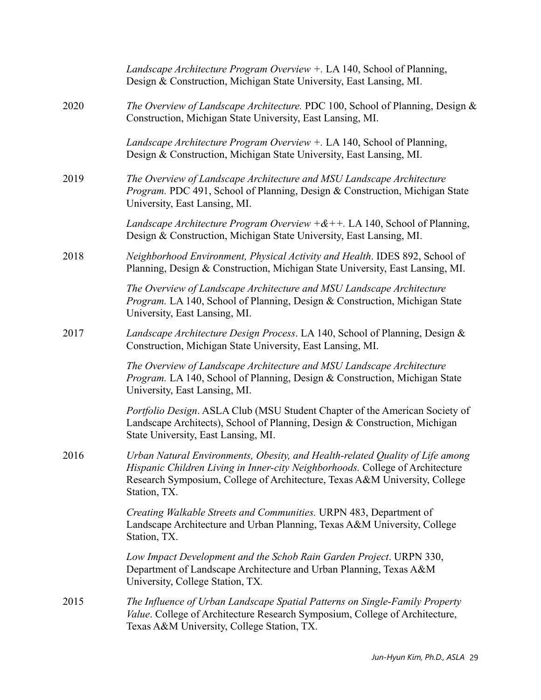|      | Landscape Architecture Program Overview +. LA 140, School of Planning,<br>Design & Construction, Michigan State University, East Lansing, MI.                                                                                                                |
|------|--------------------------------------------------------------------------------------------------------------------------------------------------------------------------------------------------------------------------------------------------------------|
| 2020 | The Overview of Landscape Architecture. PDC 100, School of Planning, Design &<br>Construction, Michigan State University, East Lansing, MI.                                                                                                                  |
|      | Landscape Architecture Program Overview +. LA 140, School of Planning,<br>Design & Construction, Michigan State University, East Lansing, MI.                                                                                                                |
| 2019 | The Overview of Landscape Architecture and MSU Landscape Architecture<br>Program. PDC 491, School of Planning, Design & Construction, Michigan State<br>University, East Lansing, MI.                                                                        |
|      | <i>Landscape Architecture Program Overview</i> $+&+$ . LA 140, School of Planning,<br>Design & Construction, Michigan State University, East Lansing, MI.                                                                                                    |
| 2018 | Neighborhood Environment, Physical Activity and Health. IDES 892, School of<br>Planning, Design & Construction, Michigan State University, East Lansing, MI.                                                                                                 |
|      | The Overview of Landscape Architecture and MSU Landscape Architecture<br>Program. LA 140, School of Planning, Design & Construction, Michigan State<br>University, East Lansing, MI.                                                                         |
| 2017 | Landscape Architecture Design Process. LA 140, School of Planning, Design &<br>Construction, Michigan State University, East Lansing, MI.                                                                                                                    |
|      | The Overview of Landscape Architecture and MSU Landscape Architecture<br>Program. LA 140, School of Planning, Design & Construction, Michigan State<br>University, East Lansing, MI.                                                                         |
|      | Portfolio Design. ASLA Club (MSU Student Chapter of the American Society of<br>Landscape Architects), School of Planning, Design & Construction, Michigan<br>State University, East Lansing, MI.                                                             |
| 2016 | Urban Natural Environments, Obesity, and Health-related Quality of Life among<br>Hispanic Children Living in Inner-city Neighborhoods. College of Architecture<br>Research Symposium, College of Architecture, Texas A&M University, College<br>Station, TX. |
|      | Creating Walkable Streets and Communities. URPN 483, Department of<br>Landscape Architecture and Urban Planning, Texas A&M University, College<br>Station, TX.                                                                                               |
|      | Low Impact Development and the Schob Rain Garden Project. URPN 330,<br>Department of Landscape Architecture and Urban Planning, Texas A&M<br>University, College Station, TX.                                                                                |
| 2015 | The Influence of Urban Landscape Spatial Patterns on Single-Family Property<br><i>Value.</i> College of Architecture Research Symposium, College of Architecture,<br>Texas A&M University, College Station, TX.                                              |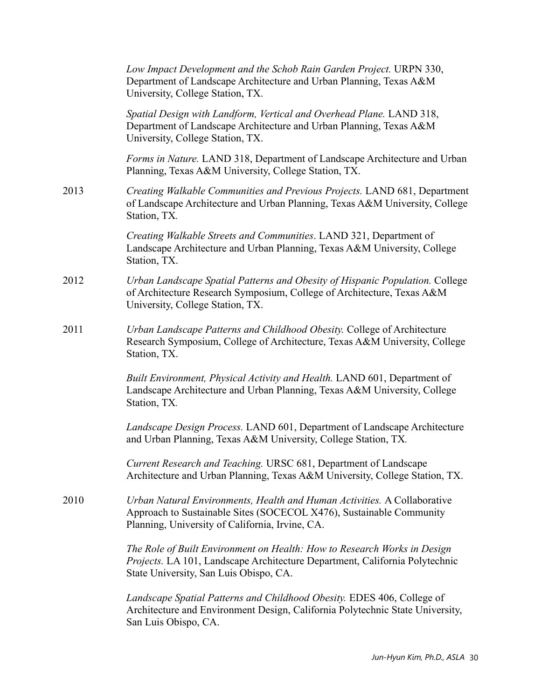|      | Low Impact Development and the Schob Rain Garden Project. URPN 330,<br>Department of Landscape Architecture and Urban Planning, Texas A&M<br>University, College Station, TX.                      |
|------|----------------------------------------------------------------------------------------------------------------------------------------------------------------------------------------------------|
|      | Spatial Design with Landform, Vertical and Overhead Plane. LAND 318,<br>Department of Landscape Architecture and Urban Planning, Texas A&M<br>University, College Station, TX.                     |
|      | Forms in Nature. LAND 318, Department of Landscape Architecture and Urban<br>Planning, Texas A&M University, College Station, TX.                                                                  |
| 2013 | Creating Walkable Communities and Previous Projects. LAND 681, Department<br>of Landscape Architecture and Urban Planning, Texas A&M University, College<br>Station, TX.                           |
|      | Creating Walkable Streets and Communities. LAND 321, Department of<br>Landscape Architecture and Urban Planning, Texas A&M University, College<br>Station, TX.                                     |
| 2012 | Urban Landscape Spatial Patterns and Obesity of Hispanic Population. College<br>of Architecture Research Symposium, College of Architecture, Texas A&M<br>University, College Station, TX.         |
| 2011 | Urban Landscape Patterns and Childhood Obesity. College of Architecture<br>Research Symposium, College of Architecture, Texas A&M University, College<br>Station, TX.                              |
|      | Built Environment, Physical Activity and Health. LAND 601, Department of<br>Landscape Architecture and Urban Planning, Texas A&M University, College<br>Station, TX.                               |
|      | Landscape Design Process. LAND 601, Department of Landscape Architecture<br>and Urban Planning, Texas A&M University, College Station, TX.                                                         |
|      | Current Research and Teaching. URSC 681, Department of Landscape<br>Architecture and Urban Planning, Texas A&M University, College Station, TX.                                                    |
| 2010 | Urban Natural Environments, Health and Human Activities. A Collaborative<br>Approach to Sustainable Sites (SOCECOL X476), Sustainable Community<br>Planning, University of California, Irvine, CA. |
|      | The Role of Built Environment on Health: How to Research Works in Design<br>Projects. LA 101, Landscape Architecture Department, California Polytechnic<br>State University, San Luis Obispo, CA.  |
|      | Landscape Spatial Patterns and Childhood Obesity. EDES 406, College of<br>Architecture and Environment Design, California Polytechnic State University,<br>San Luis Obispo, CA.                    |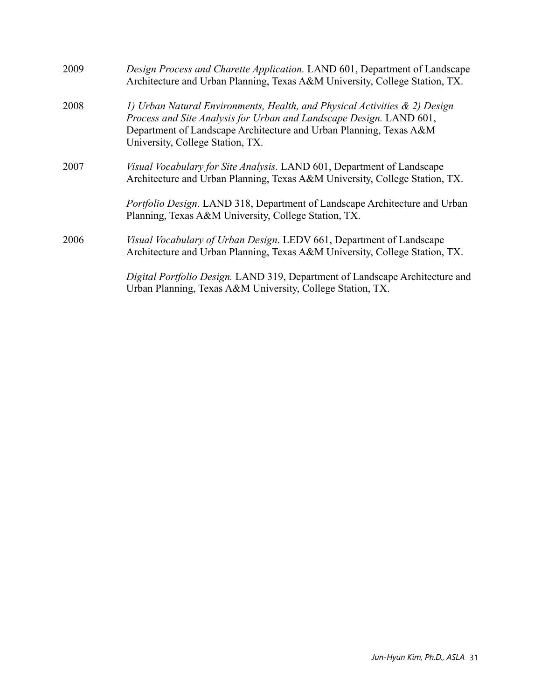| 2009 | Design Process and Charette Application. LAND 601, Department of Landscape<br>Architecture and Urban Planning, Texas A&M University, College Station, TX.                                                                                                   |
|------|-------------------------------------------------------------------------------------------------------------------------------------------------------------------------------------------------------------------------------------------------------------|
| 2008 | 1) Urban Natural Environments, Health, and Physical Activities & 2) Design<br>Process and Site Analysis for Urban and Landscape Design. LAND 601,<br>Department of Landscape Architecture and Urban Planning, Texas A&M<br>University, College Station, TX. |
| 2007 | Visual Vocabulary for Site Analysis. LAND 601, Department of Landscape<br>Architecture and Urban Planning, Texas A&M University, College Station, TX.                                                                                                       |
|      | Portfolio Design. LAND 318, Department of Landscape Architecture and Urban<br>Planning, Texas A&M University, College Station, TX.                                                                                                                          |
| 2006 | Visual Vocabulary of Urban Design. LEDV 661, Department of Landscape<br>Architecture and Urban Planning, Texas A&M University, College Station, TX.                                                                                                         |
|      | Digital Portfolio Design. LAND 319, Department of Landscape Architecture and<br>Urban Planning, Texas A&M University, College Station, TX.                                                                                                                  |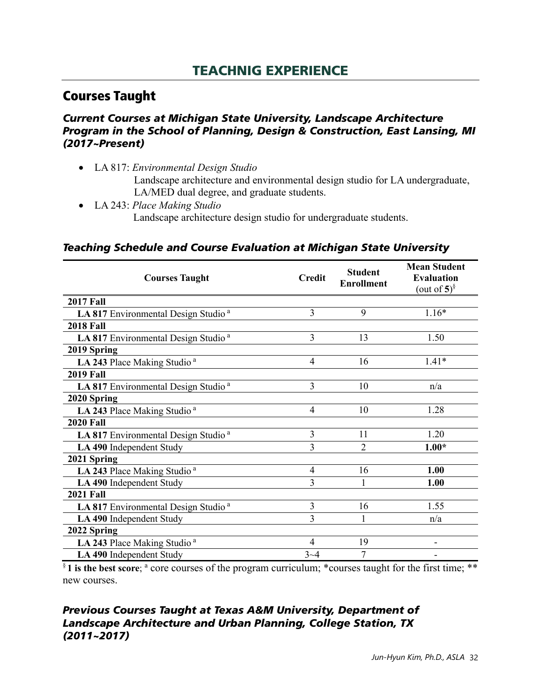## TEACHNIG EXPERIENCE

## Courses Taught

#### *Current Courses at Michigan State University, Landscape Architecture Program in the School of Planning, Design & Construction, East Lansing, MI (2017~Present)*

- LA 817: *Environmental Design Studio* Landscape architecture and environmental design studio for LA undergraduate, LA/MED dual degree, and graduate students.
- LA 243: *Place Making Studio* Landscape architecture design studio for undergraduate students.

#### *Teaching Schedule and Course Evaluation at Michigan State University*

| <b>Courses Taught</b>                           | <b>Credit</b>  | <b>Student</b><br><b>Enrollment</b> | <b>Mean Student</b><br><b>Evaluation</b><br>(out of $5$ ) <sup>§</sup> |
|-------------------------------------------------|----------------|-------------------------------------|------------------------------------------------------------------------|
| <b>2017 Fall</b>                                |                |                                     |                                                                        |
| LA 817 Environmental Design Studio <sup>a</sup> | 3              | 9                                   | $1.16*$                                                                |
| <b>2018 Fall</b>                                |                |                                     |                                                                        |
| LA 817 Environmental Design Studio <sup>a</sup> | 3              | 13                                  | 1.50                                                                   |
| 2019 Spring                                     |                |                                     |                                                                        |
| LA 243 Place Making Studio <sup>a</sup>         | 4              | 16                                  | $1.41*$                                                                |
| <b>2019 Fall</b>                                |                |                                     |                                                                        |
| LA 817 Environmental Design Studio <sup>a</sup> | 3              | 10                                  | n/a                                                                    |
| 2020 Spring                                     |                |                                     |                                                                        |
| LA 243 Place Making Studio <sup>a</sup>         | 4              | 10                                  | 1.28                                                                   |
| <b>2020 Fall</b>                                |                |                                     |                                                                        |
| LA 817 Environmental Design Studio <sup>a</sup> | $\overline{3}$ | 11                                  | 1.20                                                                   |
| LA 490 Independent Study                        | 3              | $\overline{2}$                      | $1.00*$                                                                |
| 2021 Spring                                     |                |                                     |                                                                        |
| LA 243 Place Making Studio <sup>a</sup>         | $\overline{4}$ | 16                                  | 1.00                                                                   |
| LA 490 Independent Study                        | 3              | 1                                   | 1.00                                                                   |
| <b>2021 Fall</b>                                |                |                                     |                                                                        |
| LA 817 Environmental Design Studio <sup>a</sup> | 3              | 16                                  | 1.55                                                                   |
| LA 490 Independent Study                        | 3              |                                     | n/a                                                                    |
| 2022 Spring                                     |                |                                     |                                                                        |
| LA 243 Place Making Studio <sup>a</sup>         | 4              | 19                                  |                                                                        |
| LA 490 Independent Study                        | $3 - 4$        | 7                                   |                                                                        |

<sup>§</sup> **1** is the best score; <sup>a</sup> core courses of the program curriculum; \*courses taught for the first time; \*\* new courses.

#### *Previous Courses Taught at Texas A&M University, Department of Landscape Architecture and Urban Planning, College Station, TX (2011~2017)*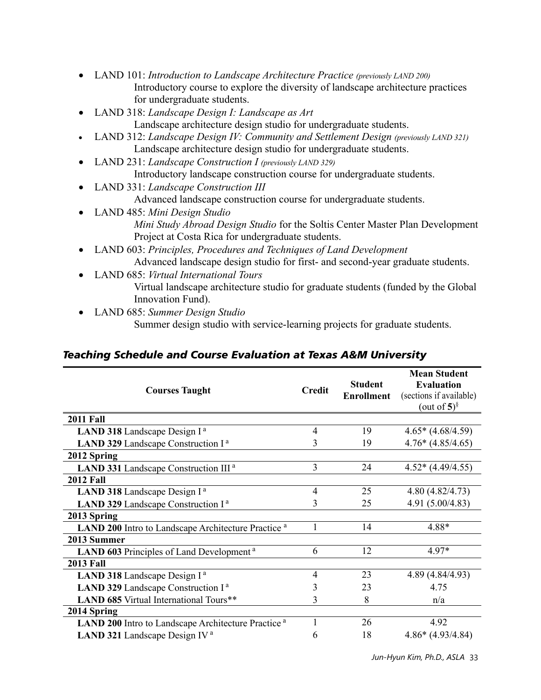- LAND 101: *Introduction to Landscape Architecture Practice (previously LAND 200)* Introductory course to explore the diversity of landscape architecture practices for undergraduate students.
- LAND 318: *Landscape Design I: Landscape as Art* Landscape architecture design studio for undergraduate students.
- LAND 312: *Landscape Design IV: Community and Settlement Design (previously LAND 321)* Landscape architecture design studio for undergraduate students.
- LAND 231: *Landscape Construction I (previously LAND 329)* Introductory landscape construction course for undergraduate students.
- LAND 331: *Landscape Construction III* Advanced landscape construction course for undergraduate students.
- LAND 485: *Mini Design Studio Mini Study Abroad Design Studio* for the Soltis Center Master Plan Development Project at Costa Rica for undergraduate students.
- LAND 603: *Principles, Procedures and Techniques of Land Development* Advanced landscape design studio for first- and second-year graduate students.
- LAND 685: *Virtual International Tours* Virtual landscape architecture studio for graduate students (funded by the Global Innovation Fund).
- LAND 685: *Summer Design Studio* Summer design studio with service-learning projects for graduate students.

### *Teaching Schedule and Course Evaluation at Texas A&M University*

| <b>Courses Taught</b>                                          | <b>Credit</b> | <b>Student</b><br><b>Enrollment</b> | <b>Mean Student</b><br><b>Evaluation</b><br>(sections if available)<br>(out of $5$ ) <sup>§</sup> |
|----------------------------------------------------------------|---------------|-------------------------------------|---------------------------------------------------------------------------------------------------|
| <b>2011 Fall</b>                                               |               |                                     |                                                                                                   |
| LAND 318 Landscape Design I <sup>a</sup>                       |               | 19                                  | $4.65*(4.68/4.59)$                                                                                |
| LAND 329 Landscape Construction I <sup>a</sup>                 | 3             | 19                                  | $4.76*(4.85/4.65)$                                                                                |
| 2012 Spring                                                    |               |                                     |                                                                                                   |
| LAND 331 Landscape Construction III <sup>a</sup>               | 3             | 24                                  | $4.52*(4.49/4.55)$                                                                                |
| <b>2012 Fall</b>                                               |               |                                     |                                                                                                   |
| LAND 318 Landscape Design I <sup>a</sup>                       | 4             | 25                                  | 4.80(4.82/4.73)                                                                                   |
| LAND 329 Landscape Construction I <sup>a</sup>                 |               | 25                                  | 4.91 (5.00/4.83)                                                                                  |
| 2013 Spring                                                    |               |                                     |                                                                                                   |
| LAND 200 Intro to Landscape Architecture Practice <sup>a</sup> |               | 14                                  | 4.88*                                                                                             |
| 2013 Summer                                                    |               |                                     |                                                                                                   |
| LAND 603 Principles of Land Development <sup>a</sup>           | 6             | 12                                  | $4.97*$                                                                                           |
| <b>2013 Fall</b>                                               |               |                                     |                                                                                                   |
| LAND 318 Landscape Design I <sup>a</sup>                       | 4             | 23                                  | 4.89 (4.84/4.93)                                                                                  |
| LAND 329 Landscape Construction I <sup>a</sup>                 | 3             | 23                                  | 4.75                                                                                              |
| LAND 685 Virtual International Tours**                         | 3             | 8                                   | n/a                                                                                               |
| 2014 Spring                                                    |               |                                     |                                                                                                   |
| LAND 200 Intro to Landscape Architecture Practice <sup>a</sup> |               | 26                                  | 4.92                                                                                              |
| LAND 321 Landscape Design IV <sup>a</sup>                      |               | 18                                  | $4.86*(4.93/4.84)$                                                                                |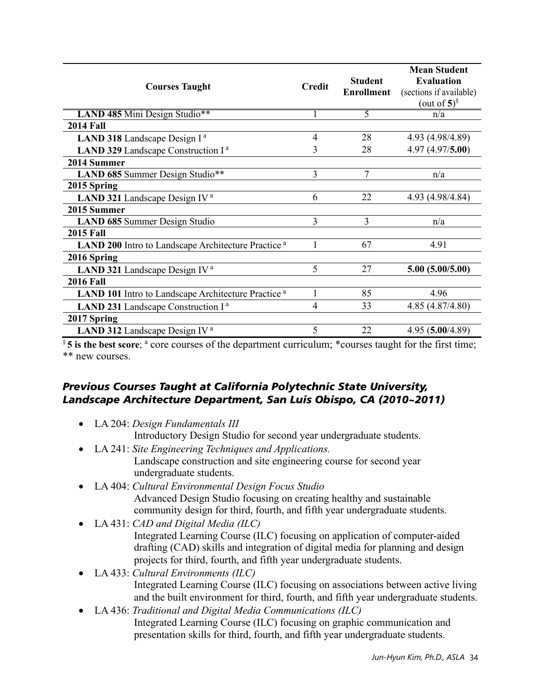| <b>Courses Taught</b>                                                 | <b>Credit</b>  | <b>Student</b><br><b>Enrollment</b> | <b>Mean Student</b><br><b>Evaluation</b><br>(sections if available)<br>(out of $5$ ) <sup>§</sup> |
|-----------------------------------------------------------------------|----------------|-------------------------------------|---------------------------------------------------------------------------------------------------|
| LAND 485 Mini Design Studio**                                         |                | 5                                   | n/a                                                                                               |
| <b>2014 Fall</b>                                                      |                |                                     |                                                                                                   |
| LAND 318 Landscape Design I <sup>a</sup>                              | 4              | 28                                  | 4.93 (4.98/4.89)                                                                                  |
| LAND 329 Landscape Construction I <sup>a</sup>                        |                | 28                                  | 4.97(4.97/5.00)                                                                                   |
| 2014 Summer                                                           |                |                                     |                                                                                                   |
| LAND 685 Summer Design Studio**                                       | $\overline{3}$ | 7                                   | n/a                                                                                               |
| 2015 Spring                                                           |                |                                     |                                                                                                   |
| LAND 321 Landscape Design IV <sup>a</sup>                             | 6              | 22                                  | 4.93 (4.98/4.84)                                                                                  |
| 2015 Summer                                                           |                |                                     |                                                                                                   |
| LAND 685 Summer Design Studio                                         | 3              | 3                                   | n/a                                                                                               |
| <b>2015 Fall</b>                                                      |                |                                     |                                                                                                   |
| LAND 200 Intro to Landscape Architecture Practice <sup>a</sup>        |                | 67                                  | 4.91                                                                                              |
| 2016 Spring                                                           |                |                                     |                                                                                                   |
| LAND 321 Landscape Design IV <sup>a</sup>                             | 5              | 27                                  | 5.00(5.00/5.00)                                                                                   |
| <b>2016 Fall</b>                                                      |                |                                     |                                                                                                   |
| <b>LAND 101</b> Intro to Landscape Architecture Practice <sup>a</sup> |                | 85                                  | 4.96                                                                                              |
| LAND 231 Landscape Construction I <sup>a</sup>                        | 4              | 33                                  | 4.85(4.87/4.80)                                                                                   |
| 2017 Spring                                                           |                |                                     |                                                                                                   |
| LAND 312 Landscape Design IV <sup>a</sup>                             | 5              | 22                                  | 4.95 (5.00/4.89)                                                                                  |

§ **5** is the best score; <sup>a</sup> core courses of the department curriculum; \*courses taught for the first time; \*\* new courses.

#### *Previous Courses Taught at California Polytechnic State University, Landscape Architecture Department, San Luis Obispo, CA (2010~2011)*

- LA 204: *Design Fundamentals III*
	- Introductory Design Studio for second year undergraduate students.
- LA 241: *Site Engineering Techniques and Applications.* Landscape construction and site engineering course for second year undergraduate students.
- LA 404: *Cultural Environmental Design Focus Studio* Advanced Design Studio focusing on creating healthy and sustainable community design for third, fourth, and fifth year undergraduate students.
- LA 431: *CAD and Digital Media (ILC)* Integrated Learning Course (ILC) focusing on application of computer-aided drafting (CAD) skills and integration of digital media for planning and design projects for third, fourth, and fifth year undergraduate students.
- LA 433: *Cultural Environments (ILC)* Integrated Learning Course (ILC) focusing on associations between active living and the built environment for third, fourth, and fifth year undergraduate students.
- LA 436: *Traditional and Digital Media Communications (ILC)* Integrated Learning Course (ILC) focusing on graphic communication and presentation skills for third, fourth, and fifth year undergraduate students.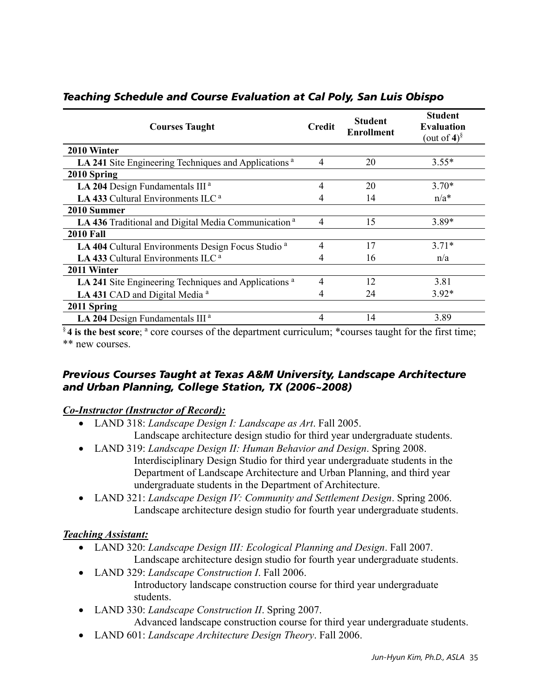| <b>Courses Taught</b>                                            | <b>Credit</b>  | <b>Student</b><br><b>Enrollment</b> | <b>Student</b><br><b>Evaluation</b><br>(out of 4) $\frac{8}{3}$ |
|------------------------------------------------------------------|----------------|-------------------------------------|-----------------------------------------------------------------|
| 2010 Winter                                                      |                |                                     |                                                                 |
| LA 241 Site Engineering Techniques and Applications <sup>a</sup> | 4              | 20                                  | $3.55*$                                                         |
| 2010 Spring                                                      |                |                                     |                                                                 |
| LA 204 Design Fundamentals III <sup>a</sup>                      | 4              | 20                                  | $3.70*$                                                         |
| LA 433 Cultural Environments ILC <sup>a</sup>                    |                | 14                                  | $n/a^*$                                                         |
| 2010 Summer                                                      |                |                                     |                                                                 |
| LA 436 Traditional and Digital Media Communication <sup>a</sup>  |                | 15                                  | $3.89*$                                                         |
| <b>2010 Fall</b>                                                 |                |                                     |                                                                 |
| LA 404 Cultural Environments Design Focus Studio <sup>a</sup>    | $\overline{4}$ | 17                                  | $3.71*$                                                         |
| LA 433 Cultural Environments ILC <sup>a</sup>                    |                | 16                                  | n/a                                                             |
| 2011 Winter                                                      |                |                                     |                                                                 |
| LA 241 Site Engineering Techniques and Applications <sup>a</sup> | 4              | 12                                  | 3.81                                                            |
| LA 431 CAD and Digital Media <sup>a</sup>                        |                | 24                                  | $3.92*$                                                         |
| 2011 Spring                                                      |                |                                     |                                                                 |
| LA 204 Design Fundamentals III <sup>a</sup>                      | 4              | 14                                  | 3.89                                                            |

#### *Teaching Schedule and Course Evaluation at Cal Poly, San Luis Obispo*

§4 is the best score; <sup>a</sup> core courses of the department curriculum; \*courses taught for the first time; \*\* new courses.

#### *Previous Courses Taught at Texas A&M University, Landscape Architecture and Urban Planning, College Station, TX (2006~2008)*

#### *Co-Instructor (Instructor of Record):*

- LAND 318: *Landscape Design I: Landscape as Art*. Fall 2005. Landscape architecture design studio for third year undergraduate students.
- LAND 319: *Landscape Design II: Human Behavior and Design*. Spring 2008. Interdisciplinary Design Studio for third year undergraduate students in the Department of Landscape Architecture and Urban Planning, and third year undergraduate students in the Department of Architecture.
- LAND 321: *Landscape Design IV: Community and Settlement Design*. Spring 2006. Landscape architecture design studio for fourth year undergraduate students.

#### *Teaching Assistant:*

- LAND 320: *Landscape Design III: Ecological Planning and Design*. Fall 2007. Landscape architecture design studio for fourth year undergraduate students.
- LAND 329: *Landscape Construction I*. Fall 2006. Introductory landscape construction course for third year undergraduate students.
- LAND 330: *Landscape Construction II*. Spring 2007. Advanced landscape construction course for third year undergraduate students.
- LAND 601: *Landscape Architecture Design Theory*. Fall 2006.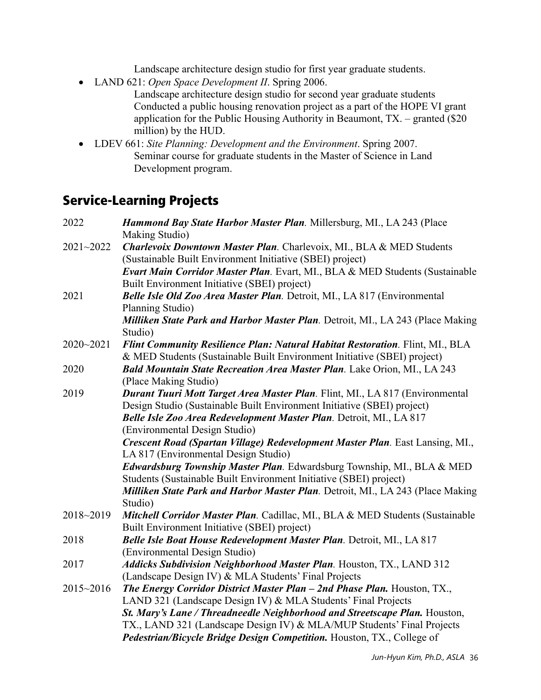Landscape architecture design studio for first year graduate students.

• LAND 621: *Open Space Development II*. Spring 2006.

Landscape architecture design studio for second year graduate students Conducted a public housing renovation project as a part of the HOPE VI grant application for the Public Housing Authority in Beaumont,  $TX -$  granted (\$20) million) by the HUD.

• LDEV 661: *Site Planning: Development and the Environment*. Spring 2007. Seminar course for graduate students in the Master of Science in Land Development program.

## Service-Learning Projects

| 2022      | Hammond Bay State Harbor Master Plan. Millersburg, MI., LA 243 (Place                                                                                    |
|-----------|----------------------------------------------------------------------------------------------------------------------------------------------------------|
| 2021~2022 | Making Studio)<br>Charlevoix Downtown Master Plan. Charlevoix, MI., BLA & MED Students                                                                   |
|           | (Sustainable Built Environment Initiative (SBEI) project)                                                                                                |
|           | Evart Main Corridor Master Plan. Evart, MI., BLA & MED Students (Sustainable<br>Built Environment Initiative (SBEI) project)                             |
| 2021      |                                                                                                                                                          |
|           | Belle Isle Old Zoo Area Master Plan. Detroit, ML, LA 817 (Environmental<br>Planning Studio)                                                              |
|           | Milliken State Park and Harbor Master Plan. Detroit, MI., LA 243 (Place Making<br>Studio)                                                                |
| 2020~2021 | Flint Community Resilience Plan: Natural Habitat Restoration. Flint, ML, BLA<br>& MED Students (Sustainable Built Environment Initiative (SBEI) project) |
| 2020      | Bald Mountain State Recreation Area Master Plan. Lake Orion, MI., LA 243<br>(Place Making Studio)                                                        |
| 2019      | Durant Tuuri Mott Target Area Master Plan. Flint, ML., LA 817 (Environmental                                                                             |
|           | Design Studio (Sustainable Built Environment Initiative (SBEI) project)                                                                                  |
|           | Belle Isle Zoo Area Redevelopment Master Plan. Detroit, MI., LA 817                                                                                      |
|           | (Environmental Design Studio)                                                                                                                            |
|           | Crescent Road (Spartan Village) Redevelopment Master Plan. East Lansing, MI.,                                                                            |
|           | LA 817 (Environmental Design Studio)                                                                                                                     |
|           | Edwardsburg Township Master Plan. Edwardsburg Township, MI., BLA & MED                                                                                   |
|           | Students (Sustainable Built Environment Initiative (SBEI) project)                                                                                       |
|           | Milliken State Park and Harbor Master Plan. Detroit, MI., LA 243 (Place Making                                                                           |
|           | Studio)                                                                                                                                                  |
| 2018~2019 | Mitchell Corridor Master Plan. Cadillac, MI., BLA & MED Students (Sustainable                                                                            |
| 2018      | Built Environment Initiative (SBEI) project)                                                                                                             |
|           | Belle Isle Boat House Redevelopment Master Plan. Detroit, MI., LA 817<br>(Environmental Design Studio)                                                   |
| 2017      | Addicks Subdivision Neighborhood Master Plan. Houston, TX., LAND 312                                                                                     |
|           | (Landscape Design IV) & MLA Students' Final Projects                                                                                                     |
| 2015~2016 | The Energy Corridor District Master Plan - 2nd Phase Plan. Houston, TX.,                                                                                 |
|           | LAND 321 (Landscape Design IV) & MLA Students' Final Projects                                                                                            |
|           | St. Mary's Lane / Threadneedle Neighborhood and Streetscape Plan. Houston,                                                                               |
|           | TX., LAND 321 (Landscape Design IV) & MLA/MUP Students' Final Projects                                                                                   |
|           | Pedestrian/Bicycle Bridge Design Competition. Houston, TX., College of                                                                                   |
|           |                                                                                                                                                          |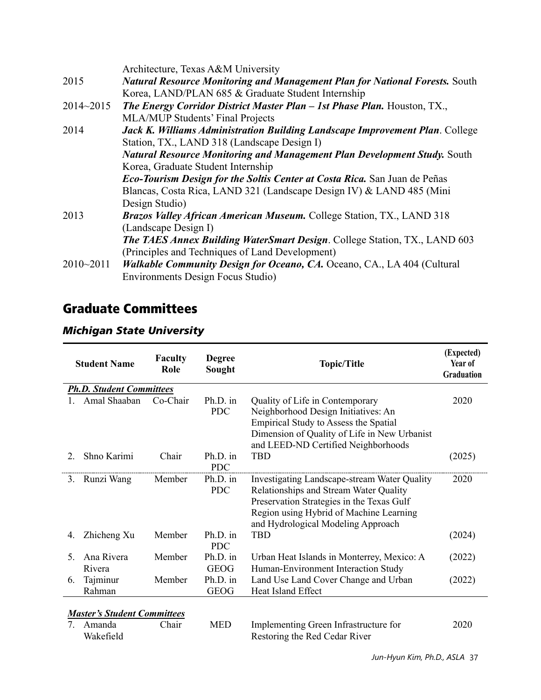|               | Architecture, Texas A&M University                                                 |
|---------------|------------------------------------------------------------------------------------|
| 2015          | <b>Natural Resource Monitoring and Management Plan for National Forests.</b> South |
|               | Korea, LAND/PLAN 685 & Graduate Student Internship                                 |
| $2014 - 2015$ | <b>The Energy Corridor District Master Plan - 1st Phase Plan.</b> Houston, TX.,    |
|               | <b>MLA/MUP Students' Final Projects</b>                                            |
| 2014          | Jack K. Williams Administration Building Landscape Improvement Plan. College       |
|               | Station, TX., LAND 318 (Landscape Design I)                                        |
|               | <b>Natural Resource Monitoring and Management Plan Development Study.</b> South    |
|               | Korea, Graduate Student Internship                                                 |
|               | <b>Eco-Tourism Design for the Soltis Center at Costa Rica.</b> San Juan de Peñas   |
|               | Blancas, Costa Rica, LAND 321 (Landscape Design IV) & LAND 485 (Mini               |
|               | Design Studio)                                                                     |
| 2013          | <b>Brazos Valley African American Museum.</b> College Station, TX., LAND 318       |
|               | (Landscape Design I)                                                               |
|               | <b>The TAES Annex Building WaterSmart Design.</b> College Station, TX., LAND 603   |
|               | (Principles and Techniques of Land Development)                                    |
| $2010 - 2011$ | <b>Walkable Community Design for Oceano, CA. Oceano, CA., LA 404 (Cultural</b>     |
|               | Environments Design Focus Studio)                                                  |

## Graduate Committees

|             | <b>Student Name</b>                | <b>Faculty</b><br>Role | <b>Degree</b><br>Sought | <b>Topic/Title</b>                                                                                                                                                                                                          | (Expected)<br>Year of<br>Graduation |
|-------------|------------------------------------|------------------------|-------------------------|-----------------------------------------------------------------------------------------------------------------------------------------------------------------------------------------------------------------------------|-------------------------------------|
|             | <b>Ph.D. Student Committees</b>    |                        |                         |                                                                                                                                                                                                                             |                                     |
|             | Amal Shaaban                       | Co-Chair               | Ph.D. in<br><b>PDC</b>  | Quality of Life in Contemporary<br>Neighborhood Design Initiatives: An<br>Empirical Study to Assess the Spatial<br>Dimension of Quality of Life in New Urbanist<br>and LEED-ND Certified Neighborhoods                      | 2020                                |
| $2^{\circ}$ | Shno Karimi                        | Chair                  | Ph.D. in<br><b>PDC</b>  | <b>TBD</b>                                                                                                                                                                                                                  | (2025)                              |
| 3.          | Runzi Wang                         | Member                 | Ph.D. in<br><b>PDC</b>  | <b>Investigating Landscape-stream Water Quality</b><br>Relationships and Stream Water Quality<br>Preservation Strategies in the Texas Gulf<br>Region using Hybrid of Machine Learning<br>and Hydrological Modeling Approach | 2020                                |
| 4.          | Zhicheng Xu                        | Member                 | Ph.D. in<br><b>PDC</b>  | <b>TBD</b>                                                                                                                                                                                                                  | (2024)                              |
| 5.          | Ana Rivera<br>Rivera               | Member                 | Ph.D. in<br><b>GEOG</b> | Urban Heat Islands in Monterrey, Mexico: A<br>Human-Environment Interaction Study                                                                                                                                           | (2022)                              |
| 6.          | Tajminur<br>Rahman                 | Member                 | Ph.D. in<br><b>GEOG</b> | Land Use Land Cover Change and Urban<br>Heat Island Effect                                                                                                                                                                  | (2022)                              |
|             | <b>Master's Student Committees</b> |                        |                         |                                                                                                                                                                                                                             |                                     |
| 7.          | Amanda<br>Wakefield                | Chair                  | <b>MED</b>              | Implementing Green Infrastructure for<br>Restoring the Red Cedar River                                                                                                                                                      | 2020                                |

#### *Michigan State University*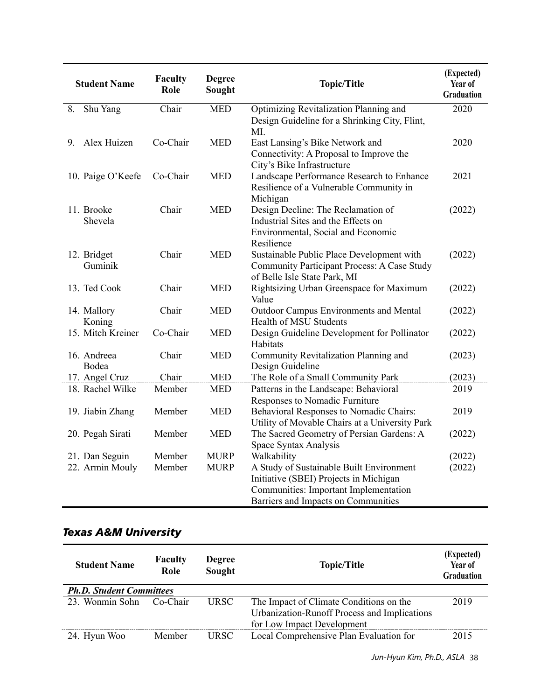| <b>Student Name</b>    | Faculty<br>Role | <b>Degree</b><br>Sought | <b>Topic/Title</b>                                                                                                              | (Expected)<br>Year of<br><b>Graduation</b> |
|------------------------|-----------------|-------------------------|---------------------------------------------------------------------------------------------------------------------------------|--------------------------------------------|
| 8.<br>Shu Yang         | Chair           | <b>MED</b>              | Optimizing Revitalization Planning and<br>Design Guideline for a Shrinking City, Flint,<br>MI.                                  | 2020                                       |
| Alex Huizen<br>9.      | Co-Chair        | <b>MED</b>              | East Lansing's Bike Network and<br>Connectivity: A Proposal to Improve the<br>City's Bike Infrastructure                        | 2020                                       |
| 10. Paige O'Keefe      | Co-Chair        | <b>MED</b>              | Landscape Performance Research to Enhance<br>Resilience of a Vulnerable Community in<br>Michigan                                | 2021                                       |
| 11. Brooke<br>Shevela  | Chair           | <b>MED</b>              | Design Decline: The Reclamation of<br>Industrial Sites and the Effects on<br>Environmental, Social and Economic<br>Resilience   | (2022)                                     |
| 12. Bridget<br>Guminik | Chair           | <b>MED</b>              | Sustainable Public Place Development with<br><b>Community Participant Process: A Case Study</b><br>of Belle Isle State Park, MI | (2022)                                     |
| 13. Ted Cook           | Chair           | <b>MED</b>              | Rightsizing Urban Greenspace for Maximum<br>Value                                                                               | (2022)                                     |
| 14. Mallory<br>Koning  | Chair           | <b>MED</b>              | Outdoor Campus Environments and Mental<br>Health of MSU Students                                                                | (2022)                                     |
| 15. Mitch Kreiner      | Co-Chair        | <b>MED</b>              | Design Guideline Development for Pollinator<br>Habitats                                                                         | (2022)                                     |
| 16. Andreea<br>Bodea   | Chair           | <b>MED</b>              | Community Revitalization Planning and<br>Design Guideline                                                                       | (2023)                                     |
| 17. Angel Cruz         | Chair           | <b>MED</b>              | The Role of a Small Community Park                                                                                              | (2023)                                     |
| 18. Rachel Wilke       | Member          | <b>MED</b>              | Patterns in the Landscape: Behavioral<br>Responses to Nomadic Furniture                                                         | 2019                                       |
| 19. Jiabin Zhang       | Member          | <b>MED</b>              | Behavioral Responses to Nomadic Chairs:<br>Utility of Movable Chairs at a University Park                                       | 2019                                       |
| 20. Pegah Sirati       | Member          | <b>MED</b>              | The Sacred Geometry of Persian Gardens: A<br>Space Syntax Analysis                                                              | (2022)                                     |
| 21. Dan Seguin         | Member          | <b>MURP</b>             | Walkability                                                                                                                     | (2022)                                     |
| 22. Armin Mouly        | Member          | <b>MURP</b>             | A Study of Sustainable Built Environment                                                                                        | (2022)                                     |
|                        |                 |                         | Initiative (SBEI) Projects in Michigan                                                                                          |                                            |
|                        |                 |                         | Communities: Important Implementation                                                                                           |                                            |
|                        |                 |                         | Barriers and Impacts on Communities                                                                                             |                                            |

### *Texas A&M University*

| <b>Student Name</b>             | <b>Faculty</b><br>Role | <b>Degree</b><br>Sought | <b>Topic/Title</b>                           | (Expected)<br>Year of<br>Graduation |
|---------------------------------|------------------------|-------------------------|----------------------------------------------|-------------------------------------|
| <b>Ph.D. Student Committees</b> |                        |                         |                                              |                                     |
| 23. Wonmin Sohn                 | Co-Chair               | <b>URSC</b>             | The Impact of Climate Conditions on the      | 2019                                |
|                                 |                        |                         | Urbanization-Runoff Process and Implications |                                     |
|                                 |                        |                         | for Low Impact Development                   |                                     |
| 24. Hyun Woo                    | Member                 | <b>URSC</b>             | Local Comprehensive Plan Evaluation for      | 2015                                |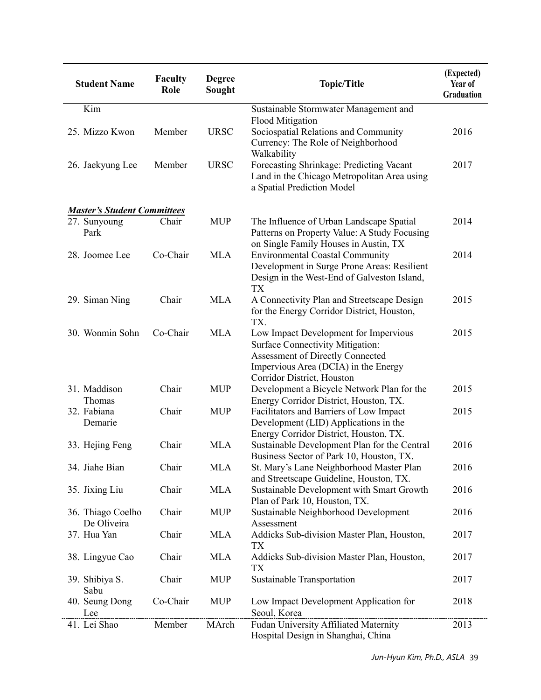| <b>Student Name</b>                | <b>Faculty</b><br>Role | <b>Degree</b><br>Sought | <b>Topic/Title</b>                                                                                                    | (Expected)<br>Year of<br>Graduation |
|------------------------------------|------------------------|-------------------------|-----------------------------------------------------------------------------------------------------------------------|-------------------------------------|
| Kim                                |                        |                         | Sustainable Stormwater Management and                                                                                 |                                     |
|                                    |                        |                         | <b>Flood Mitigation</b>                                                                                               |                                     |
| 25. Mizzo Kwon                     | Member                 | <b>URSC</b>             | Sociospatial Relations and Community<br>Currency: The Role of Neighborhood<br>Walkability                             | 2016                                |
| 26. Jaekyung Lee                   | Member                 | <b>URSC</b>             | Forecasting Shrinkage: Predicting Vacant<br>Land in the Chicago Metropolitan Area using<br>a Spatial Prediction Model | 2017                                |
|                                    |                        |                         |                                                                                                                       |                                     |
| <b>Master's Student Committees</b> |                        |                         |                                                                                                                       |                                     |
| 27. Sunyoung<br>Park               | Chair                  | <b>MUP</b>              | The Influence of Urban Landscape Spatial<br>Patterns on Property Value: A Study Focusing                              | 2014                                |
| 28. Joomee Lee                     | Co-Chair               | <b>MLA</b>              | on Single Family Houses in Austin, TX<br><b>Environmental Coastal Community</b>                                       | 2014                                |
|                                    |                        |                         | Development in Surge Prone Areas: Resilient                                                                           |                                     |
|                                    |                        |                         | Design in the West-End of Galveston Island,                                                                           |                                     |
|                                    |                        |                         | <b>TX</b>                                                                                                             |                                     |
| 29. Siman Ning                     | Chair                  | <b>MLA</b>              | A Connectivity Plan and Streetscape Design                                                                            | 2015                                |
|                                    |                        |                         | for the Energy Corridor District, Houston,<br>TX.                                                                     |                                     |
| 30. Wonmin Sohn                    | Co-Chair               | <b>MLA</b>              | Low Impact Development for Impervious                                                                                 | 2015                                |
|                                    |                        |                         | <b>Surface Connectivity Mitigation:</b>                                                                               |                                     |
|                                    |                        |                         | Assessment of Directly Connected                                                                                      |                                     |
|                                    |                        |                         | Impervious Area (DCIA) in the Energy<br>Corridor District, Houston                                                    |                                     |
| 31. Maddison                       | Chair                  | <b>MUP</b>              | Development a Bicycle Network Plan for the                                                                            | 2015                                |
| Thomas                             |                        |                         | Energy Corridor District, Houston, TX.                                                                                |                                     |
| 32. Fabiana                        | Chair                  | <b>MUP</b>              | Facilitators and Barriers of Low Impact                                                                               | 2015                                |
| Demarie                            |                        |                         | Development (LID) Applications in the                                                                                 |                                     |
|                                    |                        |                         | Energy Corridor District, Houston, TX.                                                                                |                                     |
| 33. Hejing Feng                    | Chair                  | <b>MLA</b>              | Sustainable Development Plan for the Central                                                                          | 2016                                |
|                                    |                        |                         | Business Sector of Park 10, Houston, TX.                                                                              |                                     |
| 34. Jiahe Bian                     | Chair                  | <b>MLA</b>              | St. Mary's Lane Neighborhood Master Plan                                                                              | 2016                                |
|                                    |                        |                         | and Streetscape Guideline, Houston, TX.                                                                               |                                     |
| 35. Jixing Liu                     | Chair                  | <b>MLA</b>              | Sustainable Development with Smart Growth                                                                             | 2016                                |
|                                    |                        |                         | Plan of Park 10, Houston, TX.                                                                                         |                                     |
| 36. Thiago Coelho                  | Chair                  | <b>MUP</b>              | Sustainable Neighborhood Development                                                                                  | 2016                                |
| De Oliveira                        |                        |                         | Assessment                                                                                                            |                                     |
| 37. Hua Yan                        | Chair                  | <b>MLA</b>              | Addicks Sub-division Master Plan, Houston,<br>TX                                                                      | 2017                                |
| 38. Lingyue Cao                    | Chair                  | <b>MLA</b>              | Addicks Sub-division Master Plan, Houston,                                                                            | 2017                                |
|                                    |                        |                         | TX                                                                                                                    |                                     |
| 39. Shibiya S.                     | Chair                  | <b>MUP</b>              | Sustainable Transportation                                                                                            | 2017                                |
| Sabu                               |                        |                         |                                                                                                                       |                                     |
| 40. Seung Dong                     | Co-Chair               | <b>MUP</b>              | Low Impact Development Application for                                                                                | 2018                                |
| Lee                                |                        |                         | Seoul, Korea                                                                                                          |                                     |
| 41. Lei Shao                       | Member                 | MArch                   | Fudan University Affiliated Maternity<br>Hospital Design in Shanghai, China                                           | 2013                                |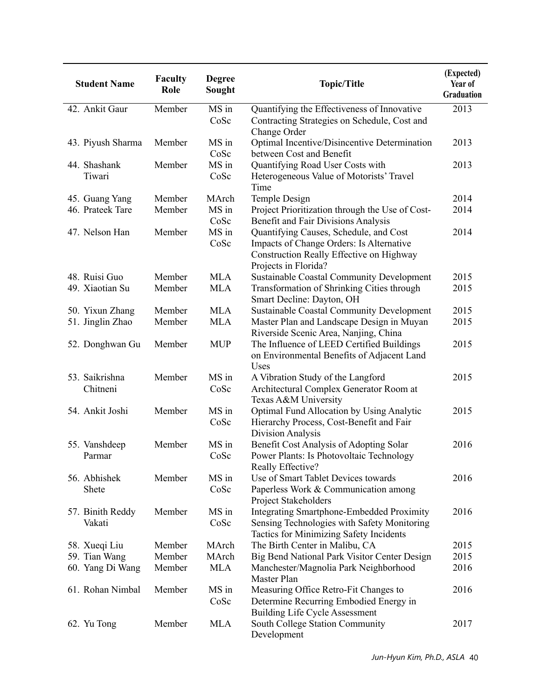| <b>Student Name</b>               | Faculty<br>Role  | <b>Degree</b><br>Sought | <b>Topic/Title</b>                                                                    | (Expected)<br>Year of<br>Graduation |
|-----------------------------------|------------------|-------------------------|---------------------------------------------------------------------------------------|-------------------------------------|
| 42. Ankit Gaur                    | Member           | MS in                   | Quantifying the Effectiveness of Innovative                                           | 2013                                |
|                                   |                  | CoSc                    | Contracting Strategies on Schedule, Cost and<br>Change Order                          |                                     |
| 43. Piyush Sharma                 | Member           | MS in                   | Optimal Incentive/Disincentive Determination                                          | 2013                                |
|                                   |                  | CoSc                    | between Cost and Benefit                                                              |                                     |
| 44. Shashank                      | Member           | MS in                   | Quantifying Road User Costs with                                                      | 2013                                |
| Tiwari                            |                  | CoSc                    | Heterogeneous Value of Motorists' Travel<br>Time                                      |                                     |
| 45. Guang Yang                    | Member           | MArch                   | Temple Design                                                                         | 2014                                |
| 46. Prateek Tare                  | Member           | MS in                   | Project Prioritization through the Use of Cost-                                       | 2014                                |
|                                   |                  | CoSc                    | Benefit and Fair Divisions Analysis                                                   |                                     |
| 47. Nelson Han                    | Member           | MS in                   | Quantifying Causes, Schedule, and Cost                                                | 2014                                |
|                                   |                  | CoSc                    | Impacts of Change Orders: Is Alternative                                              |                                     |
|                                   |                  |                         | Construction Really Effective on Highway                                              |                                     |
|                                   |                  |                         | Projects in Florida?                                                                  |                                     |
| 48. Ruisi Guo                     | Member           | <b>MLA</b>              | <b>Sustainable Coastal Community Development</b>                                      | 2015                                |
| 49. Xiaotian Su                   | Member           | <b>MLA</b>              | Transformation of Shrinking Cities through                                            | 2015                                |
|                                   |                  |                         | Smart Decline: Dayton, OH                                                             |                                     |
| 50. Yixun Zhang                   | Member           | <b>MLA</b>              | <b>Sustainable Coastal Community Development</b>                                      | 2015                                |
| 51. Jinglin Zhao                  | Member           | <b>MLA</b>              | Master Plan and Landscape Design in Muyan                                             | 2015                                |
|                                   |                  |                         | Riverside Scenic Area, Nanjing, China                                                 |                                     |
| 52. Donghwan Gu                   | Member           | <b>MUP</b>              | The Influence of LEED Certified Buildings                                             | 2015                                |
|                                   |                  |                         | on Environmental Benefits of Adjacent Land                                            |                                     |
|                                   |                  |                         | Uses                                                                                  |                                     |
| 53. Saikrishna                    | Member           | MS in                   | A Vibration Study of the Langford                                                     | 2015                                |
| Chitneni                          |                  | CoSc                    | Architectural Complex Generator Room at                                               |                                     |
|                                   |                  |                         | Texas A&M University                                                                  |                                     |
| 54. Ankit Joshi                   | Member           | MS in                   | Optimal Fund Allocation by Using Analytic                                             | 2015                                |
|                                   |                  | CoSc                    | Hierarchy Process, Cost-Benefit and Fair                                              |                                     |
|                                   |                  |                         | Division Analysis                                                                     |                                     |
| 55. Vanshdeep                     | Member           | MS in                   | Benefit Cost Analysis of Adopting Solar                                               | 2016                                |
| Parmar                            |                  | CoSc                    | Power Plants: Is Photovoltaic Technology                                              |                                     |
|                                   |                  |                         | Really Effective?                                                                     |                                     |
| 56. Abhishek                      | Member           | MS in                   | Use of Smart Tablet Devices towards                                                   | 2016                                |
| Shete                             |                  | CoSc                    | Paperless Work & Communication among                                                  |                                     |
|                                   |                  |                         | Project Stakeholders                                                                  |                                     |
| 57. Binith Reddy                  | Member           | MS in<br>CoSc           | <b>Integrating Smartphone-Embedded Proximity</b>                                      | 2016                                |
| Vakati                            |                  |                         | Sensing Technologies with Safety Monitoring                                           |                                     |
|                                   |                  |                         | Tactics for Minimizing Safety Incidents                                               |                                     |
| 58. Xueqi Liu                     | Member<br>Member | MArch<br>MArch          | The Birth Center in Malibu, CA                                                        | 2015<br>2015                        |
| 59. Tian Wang<br>60. Yang Di Wang | Member           | <b>MLA</b>              | Big Bend National Park Visitor Center Design<br>Manchester/Magnolia Park Neighborhood | 2016                                |
|                                   |                  |                         | Master Plan                                                                           |                                     |
| 61. Rohan Nimbal                  | Member           | MS in                   | Measuring Office Retro-Fit Changes to                                                 | 2016                                |
|                                   |                  | CoSc                    | Determine Recurring Embodied Energy in                                                |                                     |
|                                   |                  |                         | <b>Building Life Cycle Assessment</b>                                                 |                                     |
| 62. Yu Tong                       | Member           | <b>MLA</b>              | South College Station Community                                                       | 2017                                |
|                                   |                  |                         | Development                                                                           |                                     |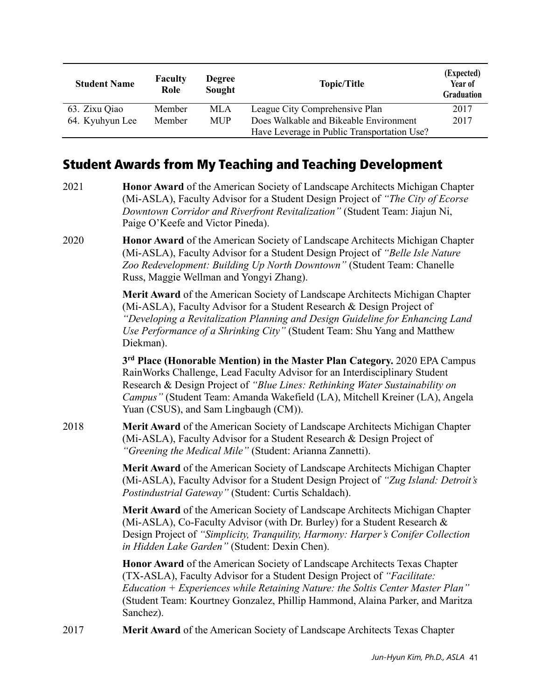| <b>Student Name</b> | <b>Faculty</b><br>Role | <b>Degree</b><br>Sought | <b>Topic/Title</b>                          | (Expected)<br>Year of<br><b>Graduation</b> |
|---------------------|------------------------|-------------------------|---------------------------------------------|--------------------------------------------|
| 63. Zixu Qiao       | Member                 | MLA                     | League City Comprehensive Plan              | 2017                                       |
| 64. Kyuhyun Lee     | Member                 | <b>MUP</b>              | Does Walkable and Bikeable Environment      | 2017                                       |
|                     |                        |                         | Have Leverage in Public Transportation Use? |                                            |

### Student Awards from My Teaching and Teaching Development

- 2021 **Honor Award** of the American Society of Landscape Architects Michigan Chapter (Mi-ASLA), Faculty Advisor for a Student Design Project of *"The City of Ecorse Downtown Corridor and Riverfront Revitalization"* (Student Team: Jiajun Ni, Paige O'Keefe and Victor Pineda).
- 2020 **Honor Award** of the American Society of Landscape Architects Michigan Chapter (Mi-ASLA), Faculty Advisor for a Student Design Project of *"Belle Isle Nature Zoo Redevelopment: Building Up North Downtown"* (Student Team: Chanelle Russ, Maggie Wellman and Yongyi Zhang).

**Merit Award** of the American Society of Landscape Architects Michigan Chapter (Mi-ASLA), Faculty Advisor for a Student Research & Design Project of *"Developing a Revitalization Planning and Design Guideline for Enhancing Land Use Performance of a Shrinking City"* (Student Team: Shu Yang and Matthew Diekman).

**3rd Place (Honorable Mention) in the Master Plan Category.** 2020 EPA Campus RainWorks Challenge, Lead Faculty Advisor for an Interdisciplinary Student Research & Design Project of *"Blue Lines: Rethinking Water Sustainability on Campus"* (Student Team: Amanda Wakefield (LA), Mitchell Kreiner (LA), Angela Yuan (CSUS), and Sam Lingbaugh (CM)).

2018 **Merit Award** of the American Society of Landscape Architects Michigan Chapter (Mi-ASLA), Faculty Advisor for a Student Research & Design Project of *"Greening the Medical Mile"* (Student: Arianna Zannetti).

> **Merit Award** of the American Society of Landscape Architects Michigan Chapter (Mi-ASLA), Faculty Advisor for a Student Design Project of *"Zug Island: Detroit's Postindustrial Gateway"* (Student: Curtis Schaldach).

**Merit Award** of the American Society of Landscape Architects Michigan Chapter (Mi-ASLA), Co-Faculty Advisor (with Dr. Burley) for a Student Research & Design Project of *"Simplicity, Tranquility, Harmony: Harper's Conifer Collection in Hidden Lake Garden"* (Student: Dexin Chen).

**Honor Award** of the American Society of Landscape Architects Texas Chapter (TX-ASLA), Faculty Advisor for a Student Design Project of *"Facilitate: Education + Experiences while Retaining Nature: the Soltis Center Master Plan"* (Student Team: Kourtney Gonzalez, Phillip Hammond, Alaina Parker, and Maritza Sanchez).

2017 **Merit Award** of the American Society of Landscape Architects Texas Chapter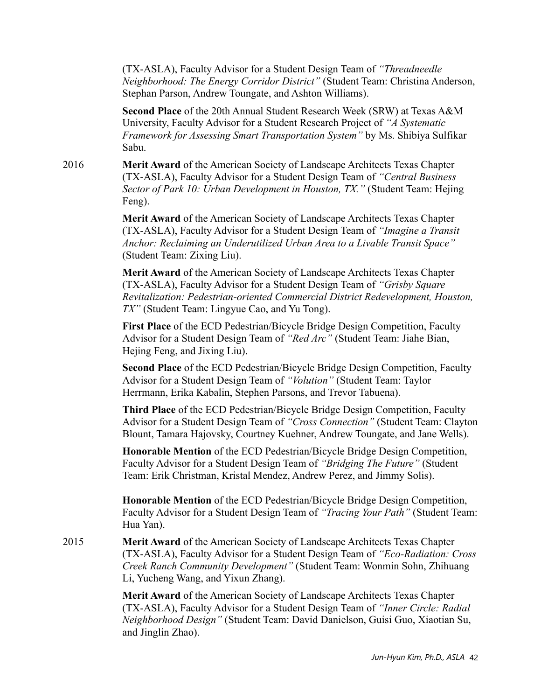(TX-ASLA), Faculty Advisor for a Student Design Team of *"Threadneedle Neighborhood: The Energy Corridor District"* (Student Team: Christina Anderson, Stephan Parson, Andrew Toungate, and Ashton Williams).

**Second Place** of the 20th Annual Student Research Week (SRW) at Texas A&M University, Faculty Advisor for a Student Research Project of *"A Systematic Framework for Assessing Smart Transportation System"* by Ms. Shibiya Sulfikar Sabu.

2016 **Merit Award** of the American Society of Landscape Architects Texas Chapter (TX-ASLA), Faculty Advisor for a Student Design Team of *"Central Business Sector of Park 10: Urban Development in Houston, TX."* (Student Team: Hejing Feng).

> **Merit Award** of the American Society of Landscape Architects Texas Chapter (TX-ASLA), Faculty Advisor for a Student Design Team of *"Imagine a Transit Anchor: Reclaiming an Underutilized Urban Area to a Livable Transit Space"* (Student Team: Zixing Liu).

**Merit Award** of the American Society of Landscape Architects Texas Chapter (TX-ASLA), Faculty Advisor for a Student Design Team of *"Grisby Square Revitalization: Pedestrian-oriented Commercial District Redevelopment, Houston, TX"* (Student Team: Lingyue Cao, and Yu Tong).

**First Place** of the ECD Pedestrian/Bicycle Bridge Design Competition, Faculty Advisor for a Student Design Team of *"Red Arc"* (Student Team: Jiahe Bian, Hejing Feng, and Jixing Liu).

**Second Place** of the ECD Pedestrian/Bicycle Bridge Design Competition, Faculty Advisor for a Student Design Team of *"Volution"* (Student Team: Taylor Herrmann, Erika Kabalin, Stephen Parsons, and Trevor Tabuena).

**Third Place** of the ECD Pedestrian/Bicycle Bridge Design Competition, Faculty Advisor for a Student Design Team of *"Cross Connection"* (Student Team: Clayton Blount, Tamara Hajovsky, Courtney Kuehner, Andrew Toungate, and Jane Wells).

**Honorable Mention** of the ECD Pedestrian/Bicycle Bridge Design Competition, Faculty Advisor for a Student Design Team of *"Bridging The Future"* (Student Team: Erik Christman, Kristal Mendez, Andrew Perez, and Jimmy Solis).

**Honorable Mention** of the ECD Pedestrian/Bicycle Bridge Design Competition, Faculty Advisor for a Student Design Team of *"Tracing Your Path"* (Student Team: Hua Yan).

2015 **Merit Award** of the American Society of Landscape Architects Texas Chapter (TX-ASLA), Faculty Advisor for a Student Design Team of *"Eco-Radiation: Cross Creek Ranch Community Development"* (Student Team: Wonmin Sohn, Zhihuang Li, Yucheng Wang, and Yixun Zhang).

> **Merit Award** of the American Society of Landscape Architects Texas Chapter (TX-ASLA), Faculty Advisor for a Student Design Team of *"Inner Circle: Radial Neighborhood Design"* (Student Team: David Danielson, Guisi Guo, Xiaotian Su, and Jinglin Zhao).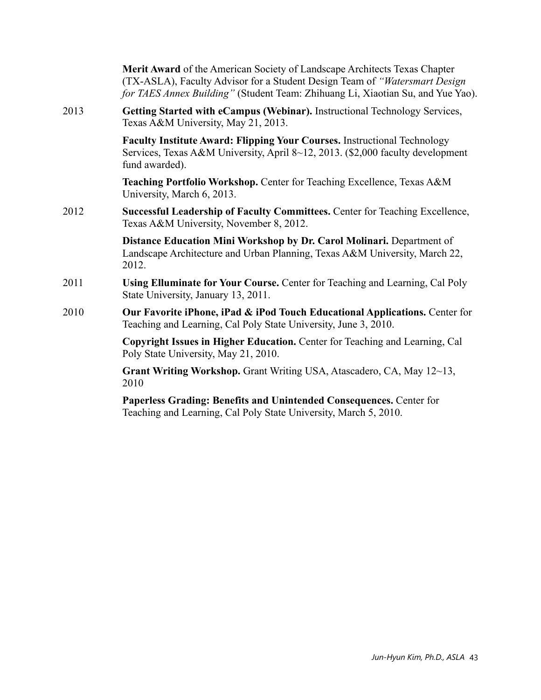|      | Merit Award of the American Society of Landscape Architects Texas Chapter<br>(TX-ASLA), Faculty Advisor for a Student Design Team of "Watersmart Design<br>for TAES Annex Building" (Student Team: Zhihuang Li, Xiaotian Su, and Yue Yao). |
|------|--------------------------------------------------------------------------------------------------------------------------------------------------------------------------------------------------------------------------------------------|
| 2013 | Getting Started with eCampus (Webinar). Instructional Technology Services,<br>Texas A&M University, May 21, 2013.                                                                                                                          |
|      | Faculty Institute Award: Flipping Your Courses. Instructional Technology<br>Services, Texas A&M University, April 8~12, 2013. (\$2,000 faculty development<br>fund awarded).                                                               |
|      | Teaching Portfolio Workshop. Center for Teaching Excellence, Texas A&M<br>University, March 6, 2013.                                                                                                                                       |
| 2012 | Successful Leadership of Faculty Committees. Center for Teaching Excellence,<br>Texas A&M University, November 8, 2012.                                                                                                                    |
|      | Distance Education Mini Workshop by Dr. Carol Molinari. Department of<br>Landscape Architecture and Urban Planning, Texas A&M University, March 22,<br>2012.                                                                               |
| 2011 | Using Elluminate for Your Course. Center for Teaching and Learning, Cal Poly<br>State University, January 13, 2011.                                                                                                                        |
| 2010 | Our Favorite iPhone, iPad & iPod Touch Educational Applications. Center for<br>Teaching and Learning, Cal Poly State University, June 3, 2010.                                                                                             |
|      | Copyright Issues in Higher Education. Center for Teaching and Learning, Cal<br>Poly State University, May 21, 2010.                                                                                                                        |
|      | Grant Writing Workshop. Grant Writing USA, Atascadero, CA, May 12~13,<br>2010                                                                                                                                                              |
|      | Paperless Grading: Benefits and Unintended Consequences. Center for                                                                                                                                                                        |

Teaching and Learning, Cal Poly State University, March 5, 2010.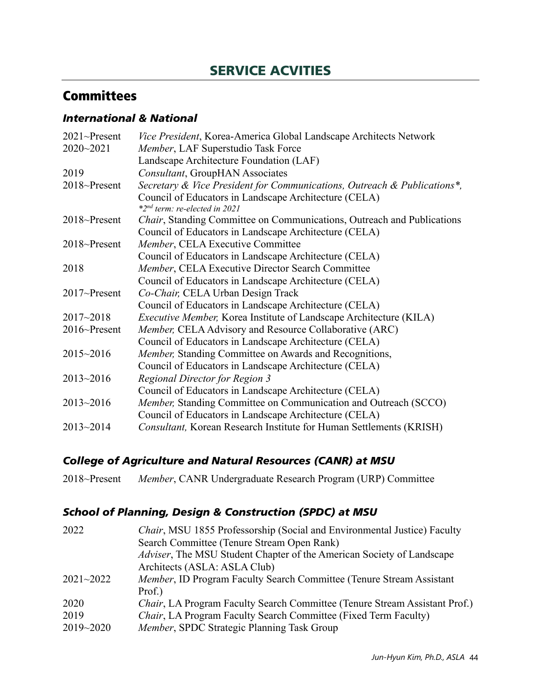## SERVICE ACVITIES

## **Committees**

### *International & National*

| 2021~Present  | Vice President, Korea-America Global Landscape Architects Network         |
|---------------|---------------------------------------------------------------------------|
| 2020~2021     | Member, LAF Superstudio Task Force                                        |
|               | Landscape Architecture Foundation (LAF)                                   |
| 2019          | <b>Consultant, GroupHAN Associates</b>                                    |
| 2018~Present  | Secretary & Vice President for Communications, Outreach & Publications*,  |
|               | Council of Educators in Landscape Architecture (CELA)                     |
|               | *2 <sup>nd</sup> term: re-elected in 2021                                 |
| 2018~Present  | Chair, Standing Committee on Communications, Outreach and Publications    |
|               | Council of Educators in Landscape Architecture (CELA)                     |
| 2018~Present  | Member, CELA Executive Committee                                          |
|               | Council of Educators in Landscape Architecture (CELA)                     |
| 2018          | Member, CELA Executive Director Search Committee                          |
|               | Council of Educators in Landscape Architecture (CELA)                     |
| 2017~Present  | Co-Chair, CELA Urban Design Track                                         |
|               | Council of Educators in Landscape Architecture (CELA)                     |
| $2017 - 2018$ | <i>Executive Member, Korea Institute of Landscape Architecture (KILA)</i> |
| 2016~Present  | Member, CELA Advisory and Resource Collaborative (ARC)                    |
|               | Council of Educators in Landscape Architecture (CELA)                     |
| 2015~2016     | Member, Standing Committee on Awards and Recognitions,                    |
|               | Council of Educators in Landscape Architecture (CELA)                     |
| $2013 - 2016$ | <b>Regional Director for Region 3</b>                                     |
|               | Council of Educators in Landscape Architecture (CELA)                     |
| $2013 - 2016$ | Member, Standing Committee on Communication and Outreach (SCCO)           |
|               | Council of Educators in Landscape Architecture (CELA)                     |
| $2013 - 2014$ | Consultant, Korean Research Institute for Human Settlements (KRISH)       |

### *College of Agriculture and Natural Resources (CANR) at MSU*

|  | 2018~Present Member, CANR Undergraduate Research Program (URP) Committee |  |
|--|--------------------------------------------------------------------------|--|
|  |                                                                          |  |

### *School of Planning, Design & Construction (SPDC) at MSU*

| 2022          | Chair, MSU 1855 Professorship (Social and Environmental Justice) Faculty   |
|---------------|----------------------------------------------------------------------------|
|               | Search Committee (Tenure Stream Open Rank)                                 |
|               | Adviser, The MSU Student Chapter of the American Society of Landscape      |
|               | Architects (ASLA: ASLA Club)                                               |
| $2021 - 2022$ | Member, ID Program Faculty Search Committee (Tenure Stream Assistant       |
|               | Prof.)                                                                     |
| 2020          | Chair, LA Program Faculty Search Committee (Tenure Stream Assistant Prof.) |
| 2019          | Chair, LA Program Faculty Search Committee (Fixed Term Faculty)            |
| 2019~2020     | Member, SPDC Strategic Planning Task Group                                 |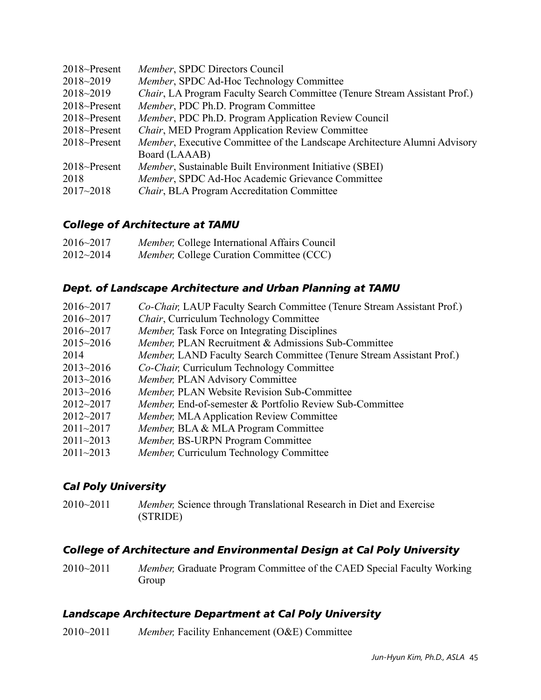| $2018$ ~Present | Member, SPDC Directors Council                                             |
|-----------------|----------------------------------------------------------------------------|
| $2018 - 2019$   | Member, SPDC Ad-Hoc Technology Committee                                   |
| $2018 - 2019$   | Chair, LA Program Faculty Search Committee (Tenure Stream Assistant Prof.) |
| $2018$ ~Present | Member, PDC Ph.D. Program Committee                                        |
| $2018$ ~Present | <i>Member</i> , PDC Ph.D. Program Application Review Council               |
| $2018$ ~Present | <i>Chair</i> , MED Program Application Review Committee                    |
| $2018$ ~Present | Member, Executive Committee of the Landscape Architecture Alumni Advisory  |
|                 | Board (LAAAB)                                                              |
| $2018$ ~Present | Member, Sustainable Built Environment Initiative (SBEI)                    |
| 2018            | Member, SPDC Ad-Hoc Academic Grievance Committee                           |
| $2017 - 2018$   | Chair, BLA Program Accreditation Committee                                 |

#### *College of Architecture at TAMU*

| $2016 - 2017$ | Member, College International Affairs Council    |
|---------------|--------------------------------------------------|
| $2012 - 2014$ | <i>Member</i> , College Curation Committee (CCC) |

#### *Dept. of Landscape Architecture and Urban Planning at TAMU*

| $2016 - 2017$ | Co-Chair, LAUP Faculty Search Committee (Tenure Stream Assistant Prof.) |
|---------------|-------------------------------------------------------------------------|
| $2016 - 2017$ | <i>Chair</i> , Curriculum Technology Committee                          |
| $2016 - 2017$ | <i>Member</i> , Task Force on Integrating Disciplines                   |
| $2015 - 2016$ | Member, PLAN Recruitment & Admissions Sub-Committee                     |
| 2014          | Member, LAND Faculty Search Committee (Tenure Stream Assistant Prof.)   |
| $2013 - 2016$ | Co-Chair, Curriculum Technology Committee                               |
| $2013 - 2016$ | Member, PLAN Advisory Committee                                         |
| $2013 - 2016$ | <i>Member</i> , PLAN Website Revision Sub-Committee                     |
| $2012 - 2017$ | <i>Member</i> , End-of-semester & Portfolio Review Sub-Committee        |
| $2012 - 2017$ | <i>Member, MLA Application Review Committee</i>                         |
| $2011 - 2017$ | Member, BLA & MLA Program Committee                                     |
| $2011 - 2013$ | <i>Member</i> , BS-URPN Program Committee                               |
| $2011 - 2013$ | Member, Curriculum Technology Committee                                 |

#### *Cal Poly University*

2010~2011 *Member,* Science through Translational Research in Diet and Exercise (STRIDE)

## *College of Architecture and Environmental Design at Cal Poly University*

2010~2011 *Member,* Graduate Program Committee of the CAED Special Faculty Working Group

### *Landscape Architecture Department at Cal Poly University*

2010~2011 *Member,* Facility Enhancement (O&E) Committee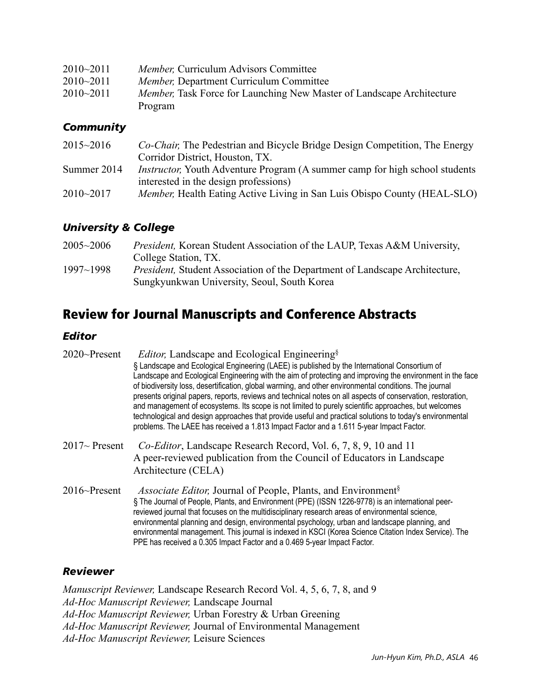| $2010 - 2011$ | <i>Member</i> , Curriculum Advisors Committee                                 |
|---------------|-------------------------------------------------------------------------------|
| $2010 - 2011$ | <i>Member</i> , Department Curriculum Committee                               |
| $2010 - 2011$ | <i>Member</i> , Task Force for Launching New Master of Landscape Architecture |
|               | Program                                                                       |

#### *Community*

| $2015 - 2016$ | <i>Co-Chair</i> , The Pedestrian and Bicycle Bridge Design Competition, The Energy  |
|---------------|-------------------------------------------------------------------------------------|
|               | Corridor District, Houston, TX.                                                     |
| Summer 2014   | <i>Instructor</i> ; Youth Adventure Program (A summer camp for high school students |
|               | interested in the design professions)                                               |
| $2010 - 2017$ | <i>Member</i> , Health Eating Active Living in San Luis Obispo County (HEAL-SLO)    |
|               |                                                                                     |

#### *University & College*

| $2005 - 2006$ | <i>President</i> , Korean Student Association of the LAUP, Texas A&M University,                                                   |
|---------------|------------------------------------------------------------------------------------------------------------------------------------|
|               | College Station, TX.                                                                                                               |
| $1997 - 1998$ | <i>President</i> , Student Association of the Department of Landscape Architecture,<br>Sungkyunkwan University, Seoul, South Korea |

## Review for Journal Manuscripts and Conference Abstracts

#### *Editor*

| 2020~Present    | <i>Editor</i> , Landscape and Ecological Engineering <sup>§</sup><br>§ Landscape and Ecological Engineering (LAEE) is published by the International Consortium of<br>Landscape and Ecological Engineering with the aim of protecting and improving the environment in the face<br>of biodiversity loss, desertification, global warming, and other environmental conditions. The journal<br>presents original papers, reports, reviews and technical notes on all aspects of conservation, restoration,<br>and management of ecosystems. Its scope is not limited to purely scientific approaches, but welcomes<br>technological and design approaches that provide useful and practical solutions to today's environmental<br>problems. The LAEE has received a 1.813 Impact Factor and a 1.611 5-year Impact Factor. |
|-----------------|-------------------------------------------------------------------------------------------------------------------------------------------------------------------------------------------------------------------------------------------------------------------------------------------------------------------------------------------------------------------------------------------------------------------------------------------------------------------------------------------------------------------------------------------------------------------------------------------------------------------------------------------------------------------------------------------------------------------------------------------------------------------------------------------------------------------------|
| $2017$ Present  | Co-Editor, Landscape Research Record, Vol. 6, 7, 8, 9, 10 and 11<br>A peer-reviewed publication from the Council of Educators in Landscape<br>Architecture (CELA)                                                                                                                                                                                                                                                                                                                                                                                                                                                                                                                                                                                                                                                       |
| $2016$ ~Present | <i>Associate Editor</i> , Journal of People, Plants, and Environment <sup>§</sup><br>§ The Journal of People, Plants, and Environment (PPE) (ISSN 1226-9778) is an international peer-<br>reviewed journal that focuses on the multidisciplinary research areas of environmental science,<br>environmental planning and design, environmental psychology, urban and landscape planning, and<br>environmental management. This journal is indexed in KSCI (Korea Science Citation Index Service). The<br>PPE has received a 0.305 Impact Factor and a 0.469 5-year Impact Factor.                                                                                                                                                                                                                                        |

#### *Reviewer*

*Manuscript Reviewer,* Landscape Research Record Vol. 4, 5, 6, 7, 8, and 9 *Ad-Hoc Manuscript Reviewer,* Landscape Journal *Ad-Hoc Manuscript Reviewer,* Urban Forestry & Urban Greening *Ad-Hoc Manuscript Reviewer,* Journal of Environmental Management *Ad-Hoc Manuscript Reviewer,* Leisure Sciences